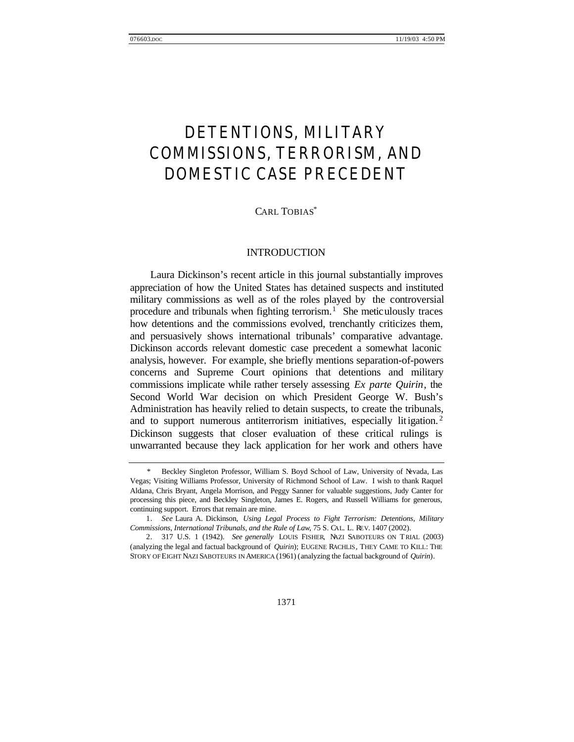# DETENTIONS, MILITARY COMMISSIONS, TERRORISM, AND DOMESTIC CASE PRECEDENT

## CARL TOBIAS\*

## INTRODUCTION

Laura Dickinson's recent article in this journal substantially improves appreciation of how the United States has detained suspects and instituted military commissions as well as of the roles played by the controversial procedure and tribunals when fighting terrorism.<sup>1</sup> She meticulously traces how detentions and the commissions evolved, trenchantly criticizes them, and persuasively shows international tribunals' comparative advantage. Dickinson accords relevant domestic case precedent a somewhat laconic analysis, however. For example, she briefly mentions separation-of-powers concerns and Supreme Court opinions that detentions and military commissions implicate while rather tersely assessing *Ex parte Quirin*, the Second World War decision on which President George W. Bush's Administration has heavily relied to detain suspects, to create the tribunals, and to support numerous antiterrorism initiatives, especially litigation.<sup>2</sup> Dickinson suggests that closer evaluation of these critical rulings is unwarranted because they lack application for her work and others have

Beckley Singleton Professor, William S. Boyd School of Law, University of Nevada, Las Vegas; Visiting Williams Professor, University of Richmond School of Law. I wish to thank Raquel Aldana, Chris Bryant, Angela Morrison, and Peggy Sanner for valuable suggestions, Judy Canter for processing this piece, and Beckley Singleton, James E. Rogers, and Russell Williams for generous, continuing support. Errors that remain are mine.

<sup>1.</sup> *See* Laura A. Dickinson, *Using Legal Process to Fight Terrorism: Detentions, Military Commissions, International Tribunals, and the Rule of Law*, 75 S. CAL. L. REV. 1407 (2002).

<sup>2.</sup> 317 U.S. 1 (1942). *See generally* LOUIS FISHER, NAZI SABOTEURS ON TRIAL (2003) (analyzing the legal and factual background of *Quirin*); EUGENE RACHLIS, THEY CAME TO KILL: THE STORY OF EIGHT NAZI SABOTEURS IN AMERICA (1961) (analyzing the factual background of *Quirin*).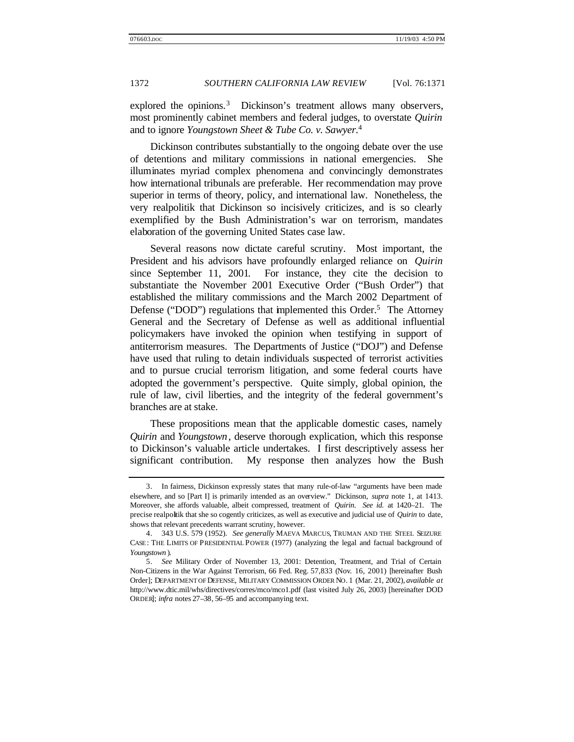explored the opinions.<sup>3</sup> Dickinson's treatment allows many observers, most prominently cabinet members and federal judges, to overstate *Quirin* and to ignore *Youngstown Sheet & Tube Co. v. Sawyer.*<sup>4</sup>

Dickinson contributes substantially to the ongoing debate over the use of detentions and military commissions in national emergencies. She illuminates myriad complex phenomena and convincingly demonstrates how international tribunals are preferable. Her recommendation may prove superior in terms of theory, policy, and international law. Nonetheless, the very realpolitik that Dickinson so incisively criticizes, and is so clearly exemplified by the Bush Administration's war on terrorism, mandates elaboration of the governing United States case law.

Several reasons now dictate careful scrutiny. Most important, the President and his advisors have profoundly enlarged reliance on *Quirin* since September 11, 2001. For instance, they cite the decision to substantiate the November 2001 Executive Order ("Bush Order") that established the military commissions and the March 2002 Department of Defense ("DOD") regulations that implemented this Order.<sup>5</sup> The Attorney General and the Secretary of Defense as well as additional influential policymakers have invoked the opinion when testifying in support of antiterrorism measures. The Departments of Justice ("DOJ") and Defense have used that ruling to detain individuals suspected of terrorist activities and to pursue crucial terrorism litigation, and some federal courts have adopted the government's perspective. Quite simply, global opinion, the rule of law, civil liberties, and the integrity of the federal government's branches are at stake.

These propositions mean that the applicable domestic cases, namely *Quirin* and *Youngstown*, deserve thorough explication, which this response to Dickinson's valuable article undertakes. I first descriptively assess her significant contribution. My response then analyzes how the Bush

<sup>3.</sup> In fairness, Dickinson expressly states that many rule-of-law "arguments have been made elsewhere, and so [Part I] is primarily intended as an overview." Dickinson, *supra* note 1, at 1413. Moreover, she affords valuable, albeit compressed, treatment of *Quirin*. *See id.* at 1420–21. The precise realpolitik that she so cogently criticizes, as well as executive and judicial use of *Quirin* to date, shows that relevant precedents warrant scrutiny, however.

<sup>4.</sup> 343 U.S. 579 (1952). *See generally* MAEVA MARCUS, TRUMAN AND THE STEEL SEIZURE CASE: THE LIMITS OF PRESIDENTIAL POWER (1977) (analyzing the legal and factual background of *Youngstown* ).

<sup>5.</sup> *See* Military Order of November 13, 2001: Detention, Treatment, and Trial of Certain Non-Citizens in the War Against Terrorism, 66 Fed. Reg. 57,833 (Nov. 16, 2001) [hereinafter Bush Order]; DEPARTMENT OF DEFENSE, MILITARY COMMISSION ORDER NO. 1 (Mar. 21, 2002), *available at* http://www.dtic.mil/whs/directives/corres/mco/mco1.pdf (last visited July 26, 2003) [hereinafter DOD ORDER]; *infra* notes 27–38, 56–95 and accompanying text.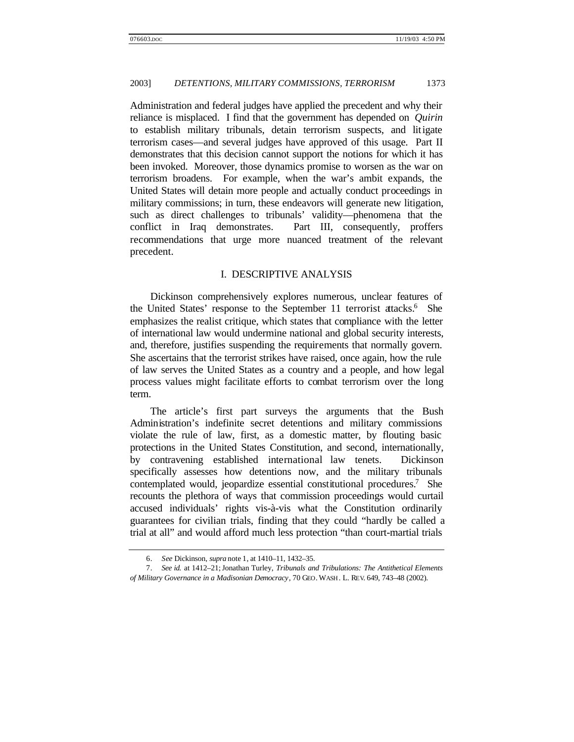Administration and federal judges have applied the precedent and why their reliance is misplaced. I find that the government has depended on *Quirin* to establish military tribunals, detain terrorism suspects, and litigate terrorism cases—and several judges have approved of this usage. Part II demonstrates that this decision cannot support the notions for which it has been invoked. Moreover, those dynamics promise to worsen as the war on terrorism broadens. For example, when the war's ambit expands, the United States will detain more people and actually conduct proceedings in military commissions; in turn, these endeavors will generate new litigation, such as direct challenges to tribunals' validity—phenomena that the conflict in Iraq demonstrates. Part III, consequently, proffers recommendations that urge more nuanced treatment of the relevant precedent.

## I. DESCRIPTIVE ANALYSIS

Dickinson comprehensively explores numerous, unclear features of the United States' response to the September 11 terrorist attacks.<sup>6</sup> She emphasizes the realist critique, which states that compliance with the letter of international law would undermine national and global security interests, and, therefore, justifies suspending the requirements that normally govern. She ascertains that the terrorist strikes have raised, once again, how the rule of law serves the United States as a country and a people, and how legal process values might facilitate efforts to combat terrorism over the long term.

The article's first part surveys the arguments that the Bush Administration's indefinite secret detentions and military commissions violate the rule of law, first, as a domestic matter, by flouting basic protections in the United States Constitution, and second, internationally, by contravening established international law tenets. Dickinson specifically assesses how detentions now, and the military tribunals contemplated would, jeopardize essential constitutional procedures.<sup>7</sup> She recounts the plethora of ways that commission proceedings would curtail accused individuals' rights vis-à-vis what the Constitution ordinarily guarantees for civilian trials, finding that they could "hardly be called a trial at all" and would afford much less protection "than court-martial trials

<sup>6.</sup> *See* Dickinson, *supra* note 1, at 1410–11, 1432–35.

<sup>7.</sup> *See id.* at 1412–21;Jonathan Turley, *Tribunals and Tribulations: The Antithetical Elements of Military Governance in a Madisonian Democracy*, 70 GEO. WASH . L. REV. 649, 743–48 (2002).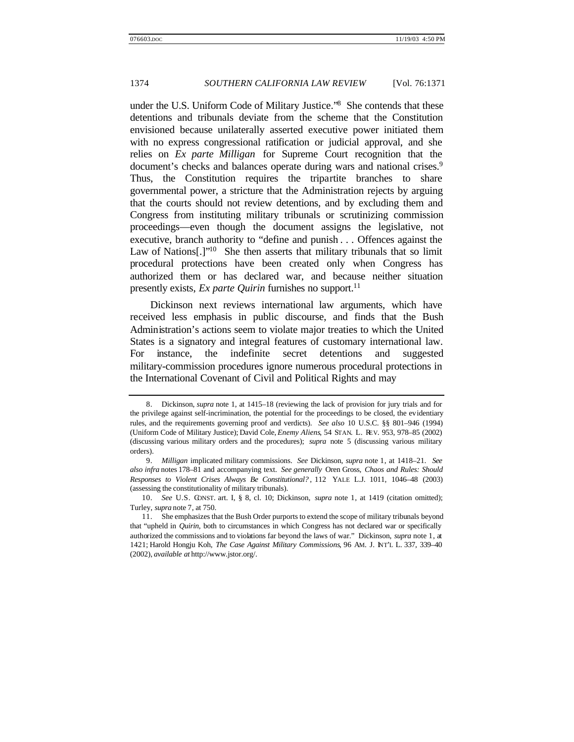under the U.S. Uniform Code of Military Justice."<sup>8</sup> She contends that these detentions and tribunals deviate from the scheme that the Constitution envisioned because unilaterally asserted executive power initiated them with no express congressional ratification or judicial approval, and she relies on *Ex parte Milligan* for Supreme Court recognition that the document's checks and balances operate during wars and national crises.<sup>9</sup> Thus, the Constitution requires the tripartite branches to share governmental power, a stricture that the Administration rejects by arguing that the courts should not review detentions, and by excluding them and Congress from instituting military tribunals or scrutinizing commission proceedings—even though the document assigns the legislative, not executive, branch authority to "define and punish . . . Offences against the Law of Nations<sup>[1]'10</sup> She then asserts that military tribunals that so limit procedural protections have been created only when Congress has authorized them or has declared war, and because neither situation presently exists, *Ex parte Quirin* furnishes no support.<sup>11</sup>

Dickinson next reviews international law arguments, which have received less emphasis in public discourse, and finds that the Bush Administration's actions seem to violate major treaties to which the United States is a signatory and integral features of customary international law. For instance, the indefinite secret detentions and suggested military-commission procedures ignore numerous procedural protections in the International Covenant of Civil and Political Rights and may

<sup>8.</sup> Dickinson, *supra* note 1, at 1415–18 (reviewing the lack of provision for jury trials and for the privilege against self-incrimination, the potential for the proceedings to be closed, the evidentiary rules, and the requirements governing proof and verdicts). *See also* 10 U.S.C. §§ 801–946 (1994) (Uniform Code of Military Justice); David Cole, *Enemy Aliens*, 54 STAN. L. REV. 953, 978–85 (2002) (discussing various military orders and the procedures); *supra* note 5 (discussing various military orders).

<sup>9.</sup> *Milligan* implicated military commissions. *See* Dickinson, *supra* note 1, at 1418–21. *See also infra* notes 178–81 and accompanying text. *See generally* Oren Gross, *Chaos and Rules: Should Responses to Violent Crises Always Be Constitutional?* , 112 YALE L.J. 1011, 1046–48 (2003) (assessing the constitutionality of military tribunals).

<sup>10.</sup> *See* U.S. CONST. art. I, § 8, cl. 10; Dickinson, *supra* note 1, at 1419 (citation omitted); Turley, *supra* note 7, at 750.

<sup>11.</sup> She emphasizes that the Bush Order purports to extend the scope of military tribunals beyond that "upheld in *Quirin*, both to circumstances in which Congress has not declared war or specifically authorized the commissions and to violations far beyond the laws of war." Dickinson, *supra* note 1, at 1421; Harold Hongju Koh, *The Case Against Military Commissions*, 96 AM. J. INT'L L. 337, 339–40 (2002), *available at* http://www.jstor.org/.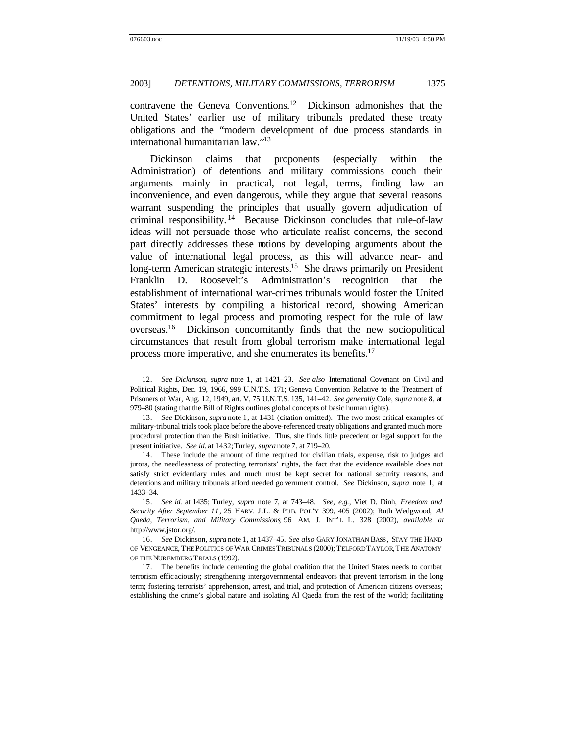contravene the Geneva Conventions.<sup>12</sup> Dickinson admonishes that the United States' earlier use of military tribunals predated these treaty obligations and the "modern development of due process standards in international humanitarian law."<sup>13</sup>

Dickinson claims that proponents (especially within the Administration) of detentions and military commissions couch their arguments mainly in practical, not legal, terms, finding law an inconvenience, and even dangerous, while they argue that several reasons warrant suspending the principles that usually govern adjudication of criminal responsibility. <sup>14</sup> Because Dickinson concludes that rule-of-law ideas will not persuade those who articulate realist concerns, the second part directly addresses these notions by developing arguments about the value of international legal process, as this will advance near- and long-term American strategic interests.<sup>15</sup> She draws primarily on President Franklin D. Roosevelt's Administration's recognition that the establishment of international war-crimes tribunals would foster the United States' interests by compiling a historical record, showing American commitment to legal process and promoting respect for the rule of law overseas.<sup>16</sup> Dickinson concomitantly finds that the new sociopolitical circumstances that result from global terrorism make international legal process more imperative, and she enumerates its benefits.<sup>17</sup>

<sup>12.</sup> *See Dickinson*, *supra* note 1, at 1421–23. *See also* International Covenant on Civil and Polit ical Rights, Dec. 19, 1966, 999 U.N.T.S. 171; Geneva Convention Relative to the Treatment of Prisoners of War, Aug. 12, 1949, art. V, 75 U.N.T.S. 135, 141–42. *See generally* Cole, *supra* note 8, at 979–80 (stating that the Bill of Rights outlines global concepts of basic human rights).

<sup>13.</sup> *See* Dickinson, *supra* note 1, at 1431 (citation omitted). The two most critical examples of military-tribunal trials took place before the above-referenced treaty obligations and granted much more procedural protection than the Bush initiative. Thus, she finds little precedent or legal support for the present initiative. *See id.* at 1432;Turley, *supra* note 7, at 719–20.

<sup>14.</sup> These include the amount of time required for civilian trials, expense, risk to judges and jurors, the needlessness of protecting terrorists' rights, the fact that the evidence available does not satisfy strict evidentiary rules and much must be kept secret for national security reasons, and detentions and military tribunals afford needed go vernment control. *See* Dickinson, *supra* note 1, at 1433–34.

<sup>15.</sup> *See id.* at 1435; Turley, *supra* note 7, at 743–48. *See, e.g.*, Viet D. Dinh, *Freedom and Security After September 11*, 25 HARV. J.L. & PUB. POL'Y 399, 405 (2002); Ruth Wedgwood, *Al Qaeda, Terrorism, and Military Commissions*, 96 AM. J. INT'L L. 328 (2002), *available at* http://www.jstor.org/.

<sup>16.</sup> *See* Dickinson, *supra* note 1, at 1437–45. *See also* GARY JONATHAN BASS, STAY THE HAND OF VENGEANCE, THE POLITICS OF WAR CRIMES TRIBUNALS (2000); TELFORD TAYLOR, THE ANATOMY OF THE NUREMBERGT RIALS (1992).

<sup>17.</sup> The benefits include cementing the global coalition that the United States needs to combat terrorism efficaciously; strengthening intergovernmental endeavors that prevent terrorism in the long term; fostering terrorists' apprehension, arrest, and trial, and protection of American citizens overseas; establishing the crime's global nature and isolating Al Qaeda from the rest of the world; facilitating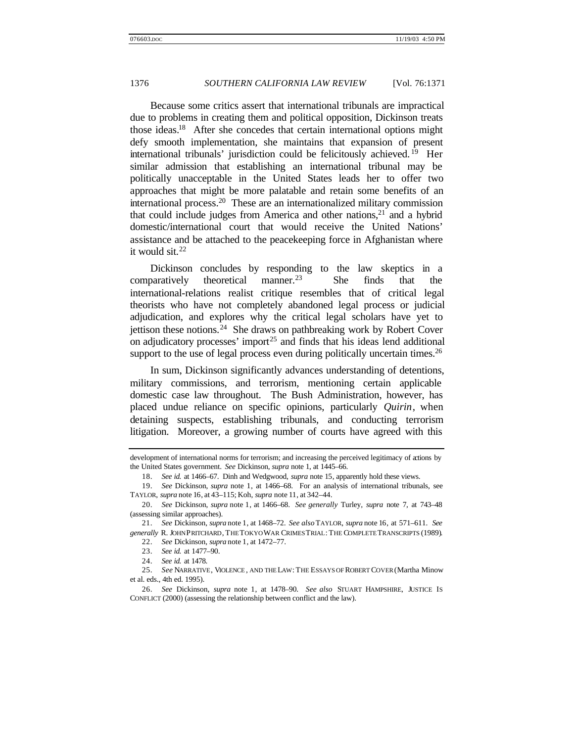Because some critics assert that international tribunals are impractical due to problems in creating them and political opposition, Dickinson treats those ideas.<sup>18</sup> After she concedes that certain international options might defy smooth implementation, she maintains that expansion of present international tribunals' jurisdiction could be felicitously achieved. <sup>19</sup> Her similar admission that establishing an international tribunal may be politically unacceptable in the United States leads her to offer two approaches that might be more palatable and retain some benefits of an international process.<sup>20</sup> These are an internationalized military commission that could include judges from America and other nations, $2<sup>1</sup>$  and a hybrid domestic/international court that would receive the United Nations' assistance and be attached to the peacekeeping force in Afghanistan where it would sit. $22$ 

Dickinson concludes by responding to the law skeptics in a comparatively theoretical manner.<sup>23</sup> She finds that the international-relations realist critique resembles that of critical legal theorists who have not completely abandoned legal process or judicial adjudication, and explores why the critical legal scholars have yet to jettison these notions.<sup>24</sup> She draws on pathbreaking work by Robert Cover on adjudicatory processes' import<sup>25</sup> and finds that his ideas lend additional support to the use of legal process even during politically uncertain times.<sup>26</sup>

In sum, Dickinson significantly advances understanding of detentions, military commissions, and terrorism, mentioning certain applicable domestic case law throughout. The Bush Administration, however, has placed undue reliance on specific opinions, particularly *Quirin*, when detaining suspects, establishing tribunals, and conducting terrorism litigation. Moreover, a growing number of courts have agreed with this

22. *See* Dickinson, *supra* note 1, at 1472–77.

development of international norms for terrorism; and increasing the perceived legitimacy of actions by the United States government. *See* Dickinson, *supra* note 1, at 1445–66.

<sup>18.</sup> *See id.* at 1466–67. Dinh and Wedgwood, *supra* note 15, apparently hold these views.

<sup>19.</sup> *See* Dickinson, *supra* note 1, at 1466–68. For an analysis of international tribunals, see TAYLOR, *supra* note 16, at 43–115; Koh, *supra* note 11, at 342–44.

<sup>20.</sup> *See* Dickinson, *supra* note 1, at 1466–68. *See generally* Turley, *supra* note 7, at 743–48 (assessing similar approaches).

<sup>21.</sup> *See* Dickinson, *supra* note 1, at 1468–72. *See also* TAYLOR, *supra* note 16, at 571–611. *See generally* R. JOHN PRITCHARD, THE TOKYO WAR CRIMES TRIAL: THE COMPLETE TRANSCRIPTS (1989).

<sup>23.</sup> *See id.* at 1477–90.

<sup>24.</sup> *See id.* at 1478.

<sup>25.</sup> *See* NARRATIVE, VIOLENCE , AND THE LAW: THE ESSAYS OF ROBERT COVER (Martha Minow et al. eds., 4th ed. 1995).

<sup>26.</sup> *See* Dickinson, *supra* note 1, at 1478–90. *See also* STUART HAMPSHIRE, JUSTICE IS CONFLICT (2000) (assessing the relationship between conflict and the law).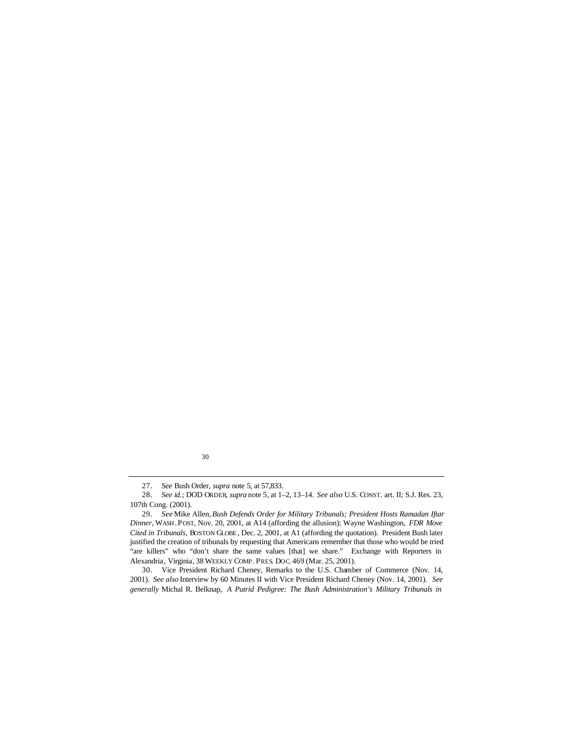30

30. Vice President Richard Cheney, Remarks to the U.S. Chamber of Commerce (Nov. 14, 2001). *See also* Interview by 60 Minutes II with Vice President Richard Cheney (Nov. 14, 2001). *See generally* Michal R. Belknap, *A Putrid Pedigree: The Bush Administration's Military Tribunals in*

<sup>27.</sup> *See* Bush Order, *supra* note 5, at 57,833.

<sup>28.</sup> *See id.*; DOD ORDER, *supra* note 5, at 1–2, 13–14. *See also* U.S. CONST. art. II; S.J. Res. 23, 107th Cong. (2001).

<sup>29.</sup> *See* Mike Allen, *Bush Defends Order for Military Tribunals; President Hosts Ramadan Iftar Dinner*, WASH . POST, Nov. 20, 2001, at A14 (affording the allusion); Wayne Washington, *FDR Move Cited in Tribunals*, BOSTON GLOBE , Dec. 2, 2001, at A1 (affording the quotation). President Bush later justified the creation of tribunals by requesting that Americans remember that those who would be tried "are killers" who "don't share the same values [that] we share." Exchange with Reporters in Alexandria, Virginia, 38 WEEKLY COMP. PRES. DOC. 469 (Mar. 25, 2001).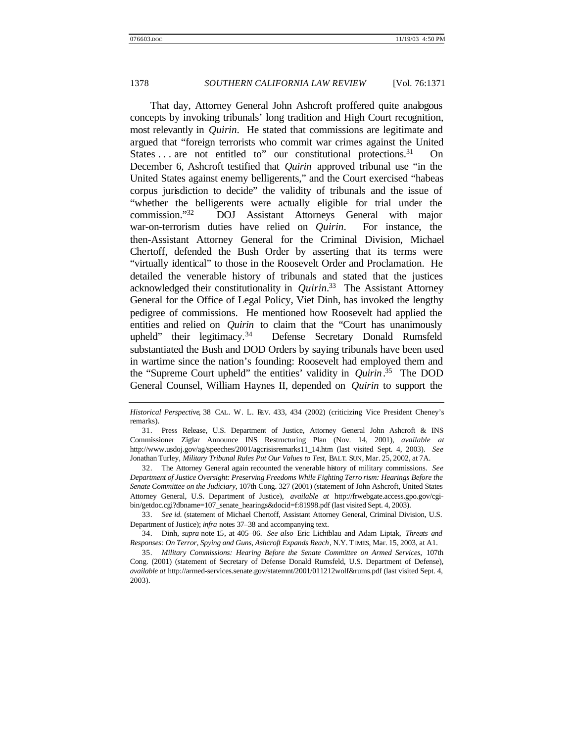That day, Attorney General John Ashcroft proffered quite analogous concepts by invoking tribunals' long tradition and High Court recognition, most relevantly in *Quirin*. He stated that commissions are legitimate and argued that "foreign terrorists who commit war crimes against the United States . . . are not entitled to" our constitutional protections.<sup>31</sup> On December 6, Ashcroft testified that *Quirin* approved tribunal use "in the United States against enemy belligerents," and the Court exercised "habeas corpus jurisdiction to decide" the validity of tribunals and the issue of "whether the belligerents were actually eligible for trial under the commission."<sup>32</sup> DOJ Assistant Attorneys General with major war-on-terrorism duties have relied on *Quirin*. For instance, the then-Assistant Attorney General for the Criminal Division, Michael Chertoff, defended the Bush Order by asserting that its terms were "virtually identical" to those in the Roosevelt Order and Proclamation. He detailed the venerable history of tribunals and stated that the justices acknowledged their constitutionality in *Quirin.*<sup>33</sup> The Assistant Attorney General for the Office of Legal Policy, Viet Dinh, has invoked the lengthy pedigree of commissions. He mentioned how Roosevelt had applied the entities and relied on *Quirin* to claim that the "Court has unanimously upheld" their legitimacy.<sup>34</sup> Defense Secretary Donald Rumsfeld substantiated the Bush and DOD Orders by saying tribunals have been used in wartime since the nation's founding: Roosevelt had employed them and the "Supreme Court upheld" the entities' validity in *Quirin*. <sup>35</sup> The DOD General Counsel, William Haynes II, depended on *Quirin* to support the

33. *See id.* (statement of Michael Chertoff, Assistant Attorney General, Criminal Division, U.S. Department of Justice); *infra* notes 37–38 and accompanying text.

34. Dinh, *supra* note 15, at 405–06. *See also* Eric Lichtblau and Adam Liptak, *Threats and Responses: On Terror, Spying and Guns, Ashcroft Expands Reach*, N.Y. T IMES, Mar. 15, 2003, at A1.

35. *Military Commissions: Hearing Before the Senate Committee on Armed Services*, 107th Cong. (2001) (statement of Secretary of Defense Donald Rumsfeld, U.S. Department of Defense), *available at* http://armed-services.senate.gov/statemnt/2001/011212wolf&rums.pdf (last visited Sept. 4, 2003).

*Historical Perspective*, 38 CAL. W. L. REV. 433, 434 (2002) (criticizing Vice President Cheney's remarks).

<sup>31.</sup> Press Release, U.S. Department of Justice, Attorney General John Ashcroft & INS Commissioner Ziglar Announce INS Restructuring Plan (Nov. 14, 2001), *available at* http://www.usdoj.gov/ag/speeches/2001/agcrisisremarks11\_14.htm (last visited Sept. 4, 2003). *See* Jonathan Turley, *Military Tribunal Rules Put Our Values to Test*, BALT. SUN, Mar. 25, 2002, at 7A.

<sup>32.</sup> The Attorney General again recounted the venerable history of military commissions. *See Department of Justice Oversight: Preserving Freedoms While Fighting Terro rism: Hearings Before the Senate Committee on the Judiciary*, 107th Cong. 327 (2001) (statement of John Ashcroft, United States Attorney General, U.S. Department of Justice), *available at* http://frwebgate.access.gpo.gov/cgibin/getdoc.cgi?dbname=107\_senate\_hearings&docid=f:81998.pdf (last visited Sept. 4, 2003).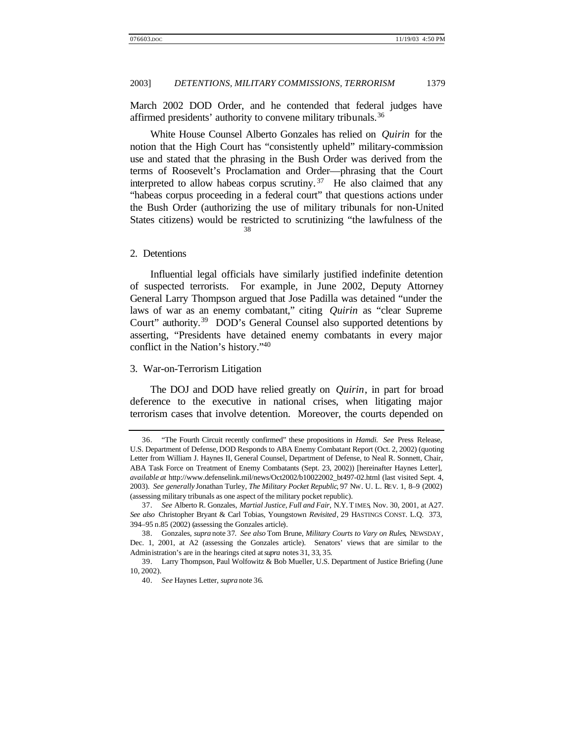March 2002 DOD Order, and he contended that federal judges have affirmed presidents' authority to convene military tribunals.<sup>36</sup>

White House Counsel Alberto Gonzales has relied on *Quirin* for the notion that the High Court has "consistently upheld" military-commission use and stated that the phrasing in the Bush Order was derived from the terms of Roosevelt's Proclamation and Order—phrasing that the Court interpreted to allow habeas corpus scrutiny.<sup>37</sup> He also claimed that any "habeas corpus proceeding in a federal court" that questions actions under the Bush Order (authorizing the use of military tribunals for non-United States citizens) would be restricted to scrutinizing "the lawfulness of the 38

#### 2. Detentions

Influential legal officials have similarly justified indefinite detention of suspected terrorists. For example, in June 2002, Deputy Attorney General Larry Thompson argued that Jose Padilla was detained "under the laws of war as an enemy combatant," citing *Quirin* as "clear Supreme Court" authority.<sup>39</sup> DOD's General Counsel also supported detentions by asserting, "Presidents have detained enemy combatants in every major conflict in the Nation's history."<sup>40</sup>

#### 3. War-on-Terrorism Litigation

The DOJ and DOD have relied greatly on *Quirin*, in part for broad deference to the executive in national crises, when litigating major terrorism cases that involve detention. Moreover, the courts depended on

<sup>36.</sup> "The Fourth Circuit recently confirmed" these propositions in *Hamdi. See* Press Release, U.S. Department of Defense, DOD Responds to ABA Enemy Combatant Report (Oct. 2, 2002) (quoting Letter from William J. Haynes II, General Counsel, Department of Defense, to Neal R. Sonnett, Chair, ABA Task Force on Treatment of Enemy Combatants (Sept. 23, 2002)) [hereinafter Haynes Letter], *available at* http://www.defenselink.mil/news/Oct2002/b10022002\_bt497-02.html (last visited Sept. 4, 2003). *See generally* Jonathan Turley, *The Military Pocket Republic*, 97 NW. U. L. REV. 1, 8–9 (2002) (assessing military tribunals as one aspect of the military pocket republic).

<sup>37.</sup> *See* Alberto R. Gonzales, *Martial Justice, Full and Fair*, N.Y. TIMES, Nov. 30, 2001, at A27. *See also* Christopher Bryant & Carl Tobias, Youngstown *Revisited*, 29 HASTINGS CONST. L.Q. 373, 394–95 n.85 (2002) (assessing the Gonzales article).

<sup>38.</sup> Gonzales, *supra* note 37. *See also* Tom Brune, *Military Courts to Vary on Rules*, NEWSDAY, Dec. 1, 2001, at A2 (assessing the Gonzales article). Senators' views that are similar to the Administration's are in the hearings cited at *supra* notes 31, 33, 35.

<sup>39.</sup> Larry Thompson, Paul Wolfowitz & Bob Mueller, U.S. Department of Justice Briefing (June 10, 2002).

<sup>40.</sup> *See* Haynes Letter, *supra* note 36.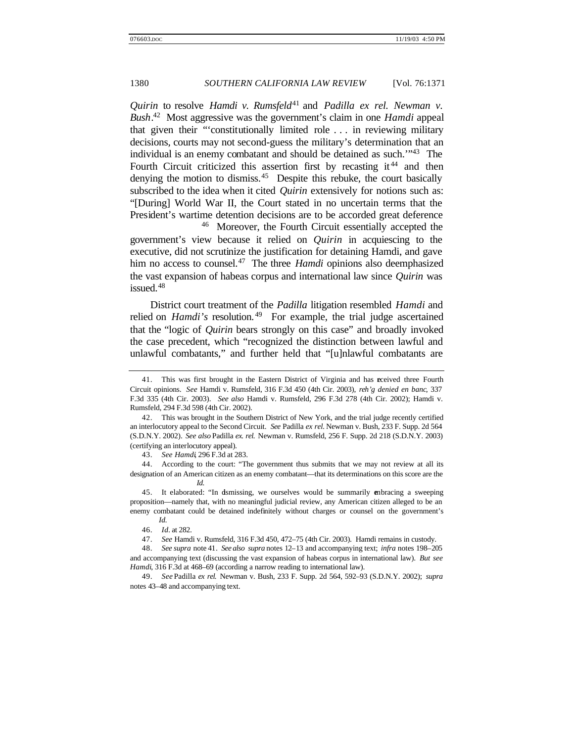*Quirin* to resolve *Hamdi v. Rumsfeld*<sup>41</sup> and *Padilla ex rel. Newman v. Bush*. <sup>42</sup> Most aggressive was the government's claim in one *Hamdi* appeal that given their "'constitutionally limited role . . . in reviewing military decisions, courts may not second-guess the military's determination that an individual is an enemy combatant and should be detained as such.'"<sup>43</sup> The Fourth Circuit criticized this assertion first by recasting it<sup>44</sup> and then denying the motion to dismiss.<sup>45</sup> Despite this rebuke, the court basically subscribed to the idea when it cited *Quirin* extensively for notions such as: "[During] World War II, the Court stated in no uncertain terms that the President's wartime detention decisions are to be accorded great deference

<sup>46</sup> Moreover, the Fourth Circuit essentially accepted the government's view because it relied on *Quirin* in acquiescing to the executive, did not scrutinize the justification for detaining Hamdi, and gave him no access to counsel.<sup>47</sup> The three *Hamdi* opinions also deemphasized the vast expansion of habeas corpus and international law since *Quirin* was issued.<sup>48</sup>

District court treatment of the *Padilla* litigation resembled *Hamdi* and relied on *Hamdi's* resolution.<sup>49</sup> For example, the trial judge ascertained that the "logic of *Quirin* bears strongly on this case" and broadly invoked the case precedent, which "recognized the distinction between lawful and unlawful combatants," and further held that "[u]nlawful combatants are

42. This was brought in the Southern District of New York, and the trial judge recently certified an interlocutory appeal to the Second Circuit. *See* Padilla *ex rel.* Newman v. Bush, 233 F. Supp. 2d 564 (S.D.N.Y. 2002). *See also* Padilla *ex. rel.* Newman v. Rumsfeld, 256 F. Supp. 2d 218 (S.D.N.Y. 2003) (certifying an interlocutory appeal).

43. *See Hamdi*, 296 F.3d at 283.

44. According to the court: "The government thus submits that we may not review at all its designation of an American citizen as an enemy combatant—that its determinations on this score are the *Id.*

45. It elaborated: "In dismissing, we ourselves would be summarily embracing a sweeping proposition—namely that, with no meaningful judicial review, any American citizen alleged to be an enemy combatant could be detained indefinitely without charges or counsel on the government's *Id.*

47. *See* Hamdi v. Rumsfeld, 316 F.3d 450, 472–75 (4th Cir. 2003). Hamdi remains in custody.

48. *See supra* note 41. *See also supra* notes 12–13 and accompanying text; *infra* notes 198–205 and accompanying text (discussing the vast expansion of habeas corpus in international law). *But see Hamdi*, 316 F.3d at 468–69 (according a narrow reading to international law).

49. *See* Padilla *ex rel.* Newman v. Bush, 233 F. Supp. 2d 564, 592–93 (S.D.N.Y. 2002); *supra* notes 43–48 and accompanying text.

<sup>41.</sup> This was first brought in the Eastern District of Virginia and has received three Fourth Circuit opinions. *See* Hamdi v. Rumsfeld, 316 F.3d 450 (4th Cir. 2003), *reh'g denied en banc*, 337 F.3d 335 (4th Cir. 2003). *See also* Hamdi v. Rumsfeld, 296 F.3d 278 (4th Cir. 2002); Hamdi v. Rumsfeld, 294 F.3d 598 (4th Cir. 2002).

<sup>46.</sup> *Id.* at 282.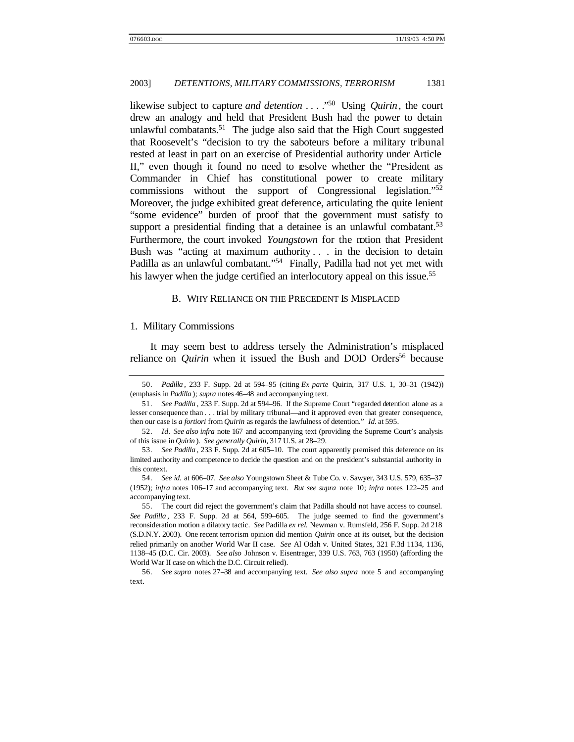likewise subject to capture *and detention* . . . ."<sup>50</sup> Using *Quirin*, the court drew an analogy and held that President Bush had the power to detain unlawful combatants.<sup>51</sup> The judge also said that the High Court suggested that Roosevelt's "decision to try the saboteurs before a military tribunal rested at least in part on an exercise of Presidential authority under Article II," even though it found no need to resolve whether the "President as Commander in Chief has constitutional power to create military commissions without the support of Congressional legislation."<sup>52</sup> Moreover, the judge exhibited great deference, articulating the quite lenient "some evidence" burden of proof that the government must satisfy to support a presidential finding that a detainee is an unlawful combatant.<sup>53</sup> Furthermore, the court invoked *Youngstown* for the notion that President Bush was "acting at maximum authority . . . in the decision to detain Padilla as an unlawful combatant."<sup>54</sup> Finally, Padilla had not yet met with his lawyer when the judge certified an interlocutory appeal on this issue.<sup>55</sup>

#### B. WHY RELIANCE ON THE PRECEDENT IS MISPLACED

#### 1. Military Commissions

It may seem best to address tersely the Administration's misplaced reliance on *Quirin* when it issued the Bush and DOD Orders<sup>56</sup> because

<sup>50.</sup> *Padilla* , 233 F. Supp. 2d at 594–95 (citing *Ex parte* Quirin, 317 U.S. 1, 30–31 (1942)) (emphasis in *Padilla* ); *supra* notes 46–48 and accompanying text.

<sup>51.</sup> *See Padilla* , 233 F. Supp. 2d at 594–96. If the Supreme Court "regarded detention alone as a lesser consequence than . . . trial by military tribunal—and it approved even that greater consequence, then our case is *a fortiori* from *Quirin* as regards the lawfulness of detention." *Id.* at 595.

<sup>52.</sup> *Id. See also infra* note 167 and accompanying text (providing the Supreme Court's analysis of this issue in *Quirin* ). *See generally Quirin*, 317 U.S. at 28–29.

<sup>53.</sup> *See Padilla* , 233 F. Supp. 2d at 605–10. The court apparently premised this deference on its limited authority and competence to decide the question and on the president's substantial authority in this context.

<sup>54.</sup> *See id.* at 606–07. *See also* Youngstown Sheet & Tube Co. v. Sawyer, 343 U.S. 579, 635–37 (1952); *infra* notes 106–17 and accompanying text. *But see supra* note 10; *infra* notes 122–25 and accompanying text.

<sup>55.</sup> The court did reject the government's claim that Padilla should not have access to counsel. *See Padilla* , 233 F. Supp. 2d at 564, 599–605. The judge seemed to find the government's reconsideration motion a dilatory tactic. *See* Padilla *ex rel.* Newman v. Rumsfeld, 256 F. Supp. 2d 218 (S.D.N.Y. 2003). One recent terrorism opinion did mention *Quirin* once at its outset, but the decision relied primarily on another World War II case. *See* Al Odah v. United States, 321 F.3d 1134, 1136, 1138–45 (D.C. Cir. 2003). *See also* Johnson v. Eisentrager, 339 U.S. 763, 763 (1950) (affording the World War II case on which the D.C. Circuit relied).

<sup>56.</sup> *See supra* notes 27–38 and accompanying text. *See also supra* note 5 and accompanying text.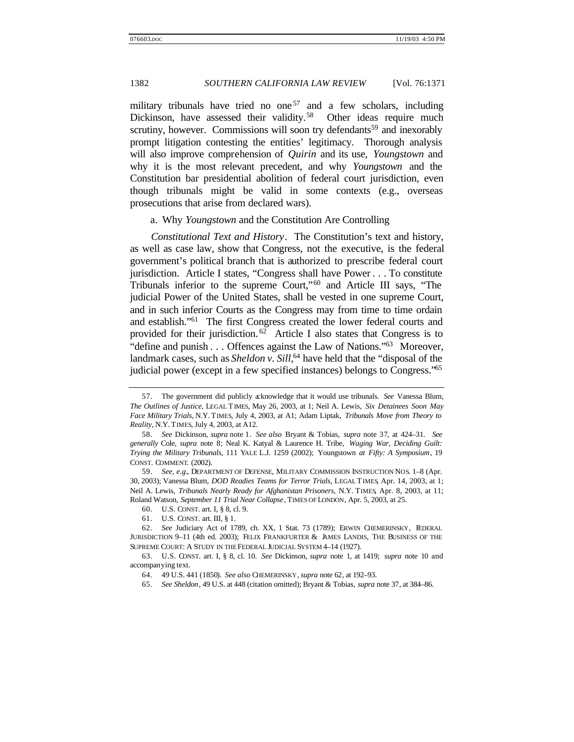military tribunals have tried no one<sup>57</sup> and a few scholars, including Dickinson, have assessed their validity.<sup>58</sup> Other ideas require much scrutiny, however. Commissions will soon try defendants<sup>59</sup> and inexorably prompt litigation contesting the entities' legitimacy. Thorough analysis will also improve comprehension of *Quirin* and its use, *Youngstown* and why it is the most relevant precedent, and why *Youngstown* and the Constitution bar presidential abolition of federal court jurisdiction, even though tribunals might be valid in some contexts (e.g., overseas prosecutions that arise from declared wars).

a. Why *Youngstown* and the Constitution Are Controlling

*Constitutional Text and History*. The Constitution's text and history, as well as case law, show that Congress, not the executive, is the federal government's political branch that is authorized to prescribe federal court jurisdiction. Article I states, "Congress shall have Power . . . To constitute Tribunals inferior to the supreme Court,"<sup>60</sup> and Article III says, "The judicial Power of the United States, shall be vested in one supreme Court, and in such inferior Courts as the Congress may from time to time ordain and establish."<sup>61</sup> The first Congress created the lower federal courts and provided for their jurisdiction.  $62$  Article I also states that Congress is to "define and punish . . . Offences against the Law of Nations."<sup>63</sup> Moreover, landmark cases, such as *Sheldon v. Sill*, <sup>64</sup> have held that the "disposal of the judicial power (except in a few specified instances) belongs to Congress."<sup>65</sup>

60. U.S. CONST. art. I, § 8, cl. 9.

<sup>57.</sup> The government did publicly acknowledge that it would use tribunals. *See* Vanessa Blum, *The Outlines of Justice*, LEGAL TIMES, May 26, 2003, at 1; Neil A. Lewis, *Six Detainees Soon May Face Military Trials*, N.Y. TIMES, July 4, 2003, at A1; Adam Liptak, *Tribunals Move from Theory to Reality*, N.Y. TIMES, July 4, 2003, at A12.

<sup>58.</sup> *See* Dickinson, *supra* note 1. *See also* Bryant & Tobias, *supra* note 37, at 424–31. *See generally* Cole, *supra* note 8; Neal K. Katyal & Laurence H. Tribe, *Waging War, Deciding Guilt: Trying the Military Tribunals*, 111 YALE L.J. 1259 (2002); Youngstown *at Fifty: A Symposium*, 19 CONST. COMMENT. (2002).

<sup>59.</sup> *See, e.g.*, DEPARTMENT OF DEFENSE, MILITARY COMMISSION INSTRUCTION NOS. 1–8 (Apr. 30, 2003); Vanessa Blum, *DOD Readies Teams for Terror Trials*, LEGAL TIMES, Apr. 14, 2003, at 1; Neil A. Lewis, *Tribunals Nearly Ready for Afghanistan Prisoners*, N.Y. TIMES, Apr. 8, 2003, at 11; Roland Watson, *September 11 Trial Near Collapse*, TIMES OF LONDON, Apr. 5, 2003, at 25.

<sup>61.</sup> U.S. CONST. art. III, § 1.

<sup>62.</sup> *See* Judiciary Act of 1789, ch. XX, 1 Stat. 73 (1789); ERWIN CHEMERINSKY, FEDERAL JURISDICTION 9–11 (4th ed. 2003); FELIX FRANKFURTER & JAMES LANDIS, THE BUSINESS OF THE SUPREME COURT: A STUDY IN THE FEDERAL JUDICIAL SYSTEM 4–14 (1927).

<sup>63.</sup> U.S. CONST. art. I, § 8, cl. 10. *See* Dickinson, *supra* note 1, at 1419; *supra* note 10 and accompanying text.

<sup>64.</sup> 49 U.S. 441 (1850). *See also* CHEMERINSKY, *supra* note 62, at 192–93.

<sup>65.</sup> *See Sheldon*, 49 U.S. at 448 (citation omitted); Bryant & Tobias, *supra* note 37, at 384–86.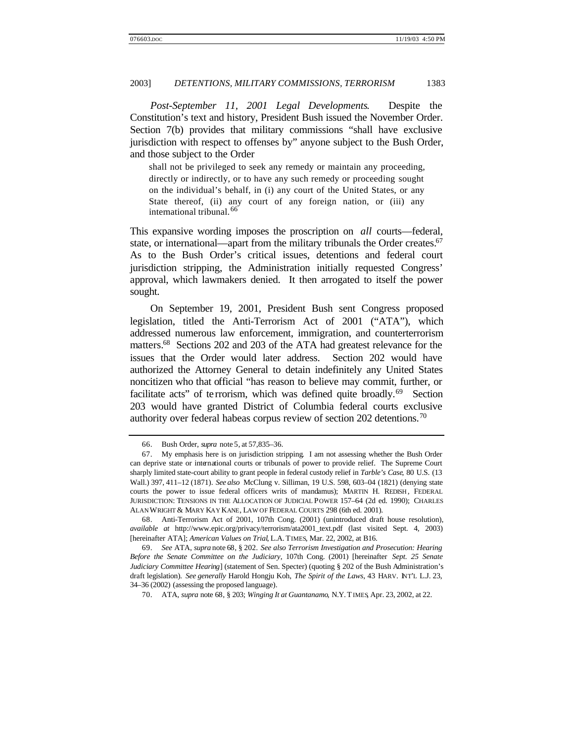*Post-September 11, 2001 Legal Developments*. Despite the Constitution's text and history, President Bush issued the November Order. Section 7(b) provides that military commissions "shall have exclusive jurisdiction with respect to offenses by" anyone subject to the Bush Order, and those subject to the Order

shall not be privileged to seek any remedy or maintain any proceeding, directly or indirectly, or to have any such remedy or proceeding sought on the individual's behalf, in (i) any court of the United States, or any State thereof, (ii) any court of any foreign nation, or (iii) any international tribunal.<sup>66</sup>

This expansive wording imposes the proscription on *all* courts—federal, state, or international—apart from the military tribunals the Order creates.<sup>67</sup> As to the Bush Order's critical issues, detentions and federal court jurisdiction stripping, the Administration initially requested Congress' approval, which lawmakers denied. It then arrogated to itself the power sought.

On September 19, 2001, President Bush sent Congress proposed legislation, titled the Anti-Terrorism Act of 2001 ("ATA"), which addressed numerous law enforcement, immigration, and counterterrorism matters.<sup>68</sup> Sections 202 and 203 of the ATA had greatest relevance for the issues that the Order would later address. Section 202 would have authorized the Attorney General to detain indefinitely any United States noncitizen who that official "has reason to believe may commit, further, or facilitate acts" of terrorism, which was defined quite broadly.<sup>69</sup> Section 203 would have granted District of Columbia federal courts exclusive authority over federal habeas corpus review of section 202 detentions.<sup>70</sup>

<sup>66.</sup> Bush Order, *supra* note 5, at 57,835–36.

<sup>67.</sup> My emphasis here is on jurisdiction stripping. I am not assessing whether the Bush Order can deprive state or international courts or tribunals of power to provide relief. The Supreme Court sharply limited state-court ability to grant people in federal custody relief in *Tarble's Case*, 80 U.S. (13 Wall.) 397, 411–12 (1871). *See also* McClung v. Silliman, 19 U.S. 598, 603–04 (1821) (denying state courts the power to issue federal officers writs of mandamus); MARTIN H. REDISH, FEDERAL JURISDICTION: TENSIONS IN THE ALLOCATION OF JUDICIAL POWER 157–64 (2d ed. 1990); CHARLES ALAN WRIGHT & MARY KAY KANE, LAW OF FEDERAL COURTS 298 (6th ed. 2001).

<sup>68.</sup> Anti-Terrorism Act of 2001, 107th Cong. (2001) (unintroduced draft house resolution), *available at* http://www.epic.org/privacy/terrorism/ata2001\_text.pdf (last visited Sept. 4, 2003) [hereinafter ATA]; *American Values on Trial*, L.A. TIMES, Mar. 22, 2002, at B16.

<sup>69.</sup> *See* ATA, *supra* note 68, § 202. *See also Terrorism Investigation and Prosecution: Hearing Before the Senate Committee on the Judiciary*, 107th Cong. (2001) [hereinafter *Sept. 25 Senate Judiciary Committee Hearing*] (statement of Sen. Specter) (quoting § 202 of the Bush Administration's draft legislation). *See generally* Harold Hongju Koh, *The Spirit of the Laws*, 43 HARV. INT'L L.J. 23, 34–36 (2002) (assessing the proposed language).

<sup>70.</sup> ATA, *supra* note 68, § 203; *Winging It at Guantanamo*, N.Y. TIMES, Apr. 23, 2002, at 22.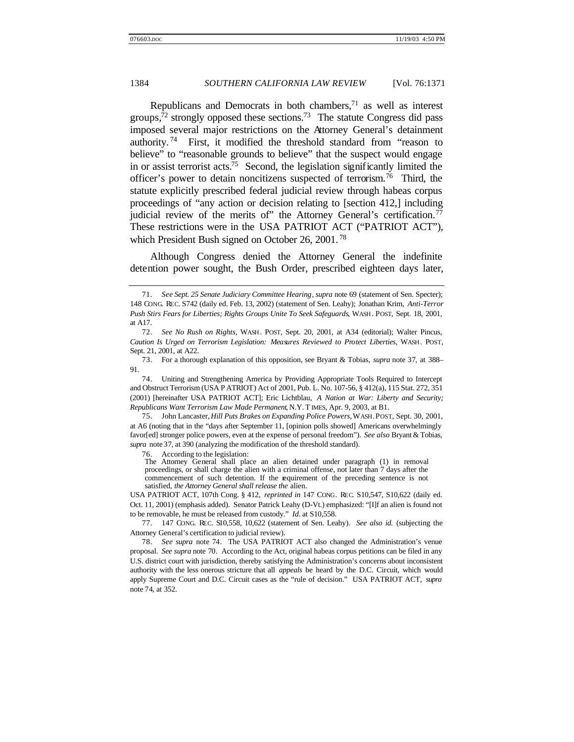Republicans and Democrats in both chambers, $71$  as well as interest groups, $\bar{7}^2$  strongly opposed these sections.<sup>73</sup> The statute Congress did pass imposed several major restrictions on the Attorney General's detainment authority. <sup>74</sup> First, it modified the threshold standard from "reason to believe" to "reasonable grounds to believe" that the suspect would engage in or assist terrorist acts.<sup>75</sup> Second, the legislation significantly limited the officer's power to detain noncitizens suspected of terrorism.<sup>76</sup> Third, the statute explicitly prescribed federal judicial review through habeas corpus proceedings of "any action or decision relating to [section 412,] including judicial review of the merits of" the Attorney General's certification.<sup>77</sup> These restrictions were in the USA PATRIOT ACT ("PATRIOT ACT"), which President Bush signed on October 26, 2001.<sup>78</sup>

Although Congress denied the Attorney General the indefinite detention power sought, the Bush Order, prescribed eighteen days later,

75. John Lancaster, *Hill Puts Brakes on Expanding Police Powers*, WASH. POST, Sept. 30, 2001, at A6 (noting that in the "days after September 11, [opinion polls showed] Americans overwhelmingly favor[ed] stronger police powers, even at the expense of personal freedom"). *See also* Bryant & Tobias, *supra* note 37, at 390 (analyzing the modification of the threshold standard).

76. According to the legislation:

<sup>71.</sup> *See Sept. 25 Senate Judiciary Committee Hearing*, *supra* note 69 (statement of Sen. Specter); 148 CONG. REC. S742 (daily ed. Feb. 13, 2002) (statement of Sen. Leahy); Jonathan Krim, *Anti-Terror Push Stirs Fears for Liberties; Rights Groups Unite To Seek Safeguards*, WASH . POST, Sept. 18, 2001, at A17.

<sup>72.</sup> *See No Rush on Rights*, WASH . POST, Sept. 20, 2001, at A34 (editorial); Walter Pincus, *Caution Is Urged on Terrorism Legislation: Measures Reviewed to Protect Liberties*, WASH . POST, Sept. 21, 2001, at A22.

<sup>73.</sup> For a thorough explanation of this opposition, see Bryant & Tobias, *supra* note 37, at 388– 91.

<sup>74.</sup> Uniting and Strengthening America by Providing Appropriate Tools Required to Intercept and Obstruct Terrorism (USA P ATRIOT) Act of 2001, Pub. L. No. 107-56, § 412(a), 115 Stat. 272, 351 (2001) [hereinafter USA PATRIOT ACT]; Eric Lichtblau, *A Nation at War: Liberty and Security; Republicans Want Terrorism Law Made Permanent*, N.Y. T IMES, Apr. 9, 2003, at B1.

The Attorney General shall place an alien detained under paragraph (1) in removal proceedings, or shall charge the alien with a criminal offense, not later than 7 days after the commencement of such detention. If the requirement of the preceding sentence is not satisfied, *the Attorney General shall release the* alien.

USA PATRIOT ACT, 107th Cong. § 412, *reprinted in* 147 CONG. REC. S10,547, S10,622 (daily ed. Oct. 11, 2001) (emphasis added). Senator Patrick Leahy (D-Vt.) emphasized: "[I]f an alien is found not to be removable, he must be released from custody." *Id.* at S10,558.

<sup>77.</sup> 147 CONG. REC. S10,558, 10,622 (statement of Sen. Leahy). *See also id.* (subjecting the Attorney General's certification to judicial review).

<sup>78.</sup> *See supra* note 74. The USA PATRIOT ACT also changed the Administration's venue proposal. *See supra* note 70. According to the Act, original habeas corpus petitions can be filed in any U.S. district court with jurisdiction, thereby satisfying the Administration's concerns about inconsistent authority with the less onerous stricture that all *appeals* be heard by the D.C. Circuit, which would apply Supreme Court and D.C. Circuit cases as the "rule of decision." USA PATRIOT ACT, *supra* note 74, at 352.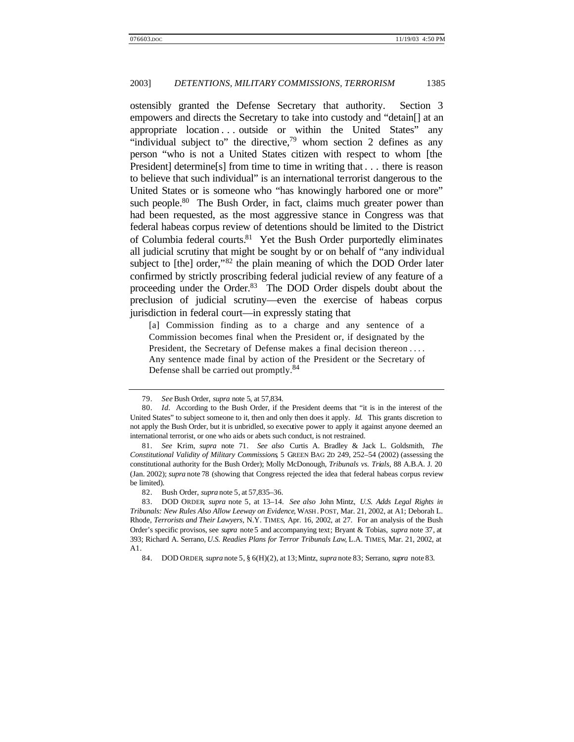ostensibly granted the Defense Secretary that authority. Section 3 empowers and directs the Secretary to take into custody and "detain[] at an appropriate location . . . outside or within the United States" any "individual subject to" the directive, $79$  whom section 2 defines as any person "who is not a United States citizen with respect to whom [the President determine [s] from time to time in writing that . . . there is reason to believe that such individual" is an international terrorist dangerous to the United States or is someone who "has knowingly harbored one or more" such people.<sup>80</sup> The Bush Order, in fact, claims much greater power than had been requested, as the most aggressive stance in Congress was that federal habeas corpus review of detentions should be limited to the District of Columbia federal courts.<sup>81</sup> Yet the Bush Order purportedly eliminates all judicial scrutiny that might be sought by or on behalf of "any individual subject to [the] order,"<sup>82</sup> the plain meaning of which the DOD Order later confirmed by strictly proscribing federal judicial review of any feature of a proceeding under the Order.<sup>83</sup> The DOD Order dispels doubt about the preclusion of judicial scrutiny—even the exercise of habeas corpus jurisdiction in federal court—in expressly stating that

[a] Commission finding as to a charge and any sentence of a Commission becomes final when the President or, if designated by the President, the Secretary of Defense makes a final decision thereon . . . . Any sentence made final by action of the President or the Secretary of Defense shall be carried out promptly.<sup>84</sup>

<sup>79.</sup> *See* Bush Order, *supra* note 5, at 57,834.

<sup>80.</sup> *Id.* According to the Bush Order, if the President deems that "it is in the interest of the United States" to subject someone to it, then and only then does it apply. *Id.* This grants discretion to not apply the Bush Order, but it is unbridled, so executive power to apply it against anyone deemed an international terrorist, or one who aids or abets such conduct, is not restrained.

<sup>81.</sup> *See* Krim, *supra* note 71. *See also* Curtis A. Bradley & Jack L. Goldsmith, *The Constitutional Validity of Military Commissions*, 5 GREEN BAG 2D 249, 252–54 (2002) (assessing the constitutional authority for the Bush Order); Molly McDonough, *Tribunals vs. Trials*, 88 A.B.A. J. 20 (Jan. 2002); *supra* note 78 (showing that Congress rejected the idea that federal habeas corpus review be limited).

<sup>82.</sup> Bush Order, *supra* note 5, at 57,835–36.

<sup>83.</sup> DOD ORDER, *supra* note 5, at 13–14. *See also* John Mintz, *U.S. Adds Legal Rights in Tribunals: New Rules Also Allow Leeway on Evidence*, WASH . POST, Mar. 21, 2002, at A1; Deborah L. Rhode, *Terrorists and Their Lawyers*, N.Y. TIMES, Apr. 16, 2002, at 27. For an analysis of the Bush Order's specific provisos, see *supra* note 5 and accompanying text; Bryant & Tobias, *supra* note 37, at 393; Richard A. Serrano, *U.S. Readies Plans for Terror Tribunals Law*, L.A. TIMES, Mar. 21, 2002, at A1.

<sup>84.</sup> DOD ORDER, *supra* note 5, § 6(H)(2), at 13;Mintz, *supra* note 83; Serrano, *supra* note 83.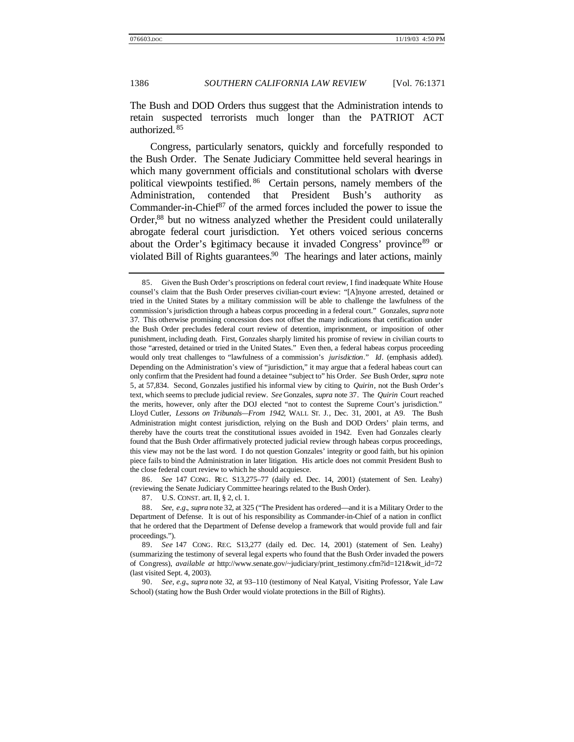The Bush and DOD Orders thus suggest that the Administration intends to retain suspected terrorists much longer than the PATRIOT ACT authorized. <sup>85</sup>

Congress, particularly senators, quickly and forcefully responded to the Bush Order. The Senate Judiciary Committee held several hearings in which many government officials and constitutional scholars with diverse political viewpoints testified. <sup>86</sup> Certain persons, namely members of the Administration, contended that President Bush's authority as Commander-in-Chief $87$  of the armed forces included the power to issue the Order,<sup>88</sup> but no witness analyzed whether the President could unilaterally abrogate federal court jurisdiction. Yet others voiced serious concerns about the Order's egitimacy because it invaded Congress' province<sup>89</sup> or violated Bill of Rights guarantees. $90$  The hearings and later actions, mainly

86. *See* 147 CONG. REC. S13,275–77 (daily ed. Dec. 14, 2001) (statement of Sen. Leahy) (reviewing the Senate Judiciary Committee hearings related to the Bush Order).

87. U.S. CONST. art. II, § 2, cl. 1.

88. *See, e.g.*, *supra* note 32, at 325 ("The President has ordered—and it is a Military Order to the Department of Defense. It is out of his responsibility as Commander-in-Chief of a nation in conflict that he ordered that the Department of Defense develop a framework that would provide full and fair proceedings.").

90. *See, e.g.*, *supra* note 32, at 93–110 (testimony of Neal Katyal, Visiting Professor, Yale Law School) (stating how the Bush Order would violate protections in the Bill of Rights).

<sup>85.</sup> Given the Bush Order's proscriptions on federal court review, I find inadequate White House counsel's claim that the Bush Order preserves civilian-court review: "[A]nyone arrested, detained or tried in the United States by a military commission will be able to challenge the lawfulness of the commission's jurisdiction through a habeas corpus proceeding in a federal court." Gonzales, *supra* note 37. This otherwise promising concession does not offset the many indications that certification under the Bush Order precludes federal court review of detention, imprisonment, or imposition of other punishment, including death. First, Gonzales sharply limited his promise of review in civilian courts to those "arrested, detained or tried in the United States." Even then, a federal habeas corpus proceeding would only treat challenges to "lawfulness of a commission's *jurisdiction*." *Id*. (emphasis added). Depending on the Administration's view of "jurisdiction," it may argue that a federal habeas court can only confirm that the President had found a detainee "subject to" his Order. *See* Bush Order, *supra* note 5, at 57,834. Second, Gonzales justified his informal view by citing to *Quirin*, not the Bush Order's text, which seems to preclude judicial review. *See* Gonzales, *supra* note 37. The *Quirin* Court reached the merits, however, only after the DOJ elected "not to contest the Supreme Court's jurisdiction." Lloyd Cutler, *Lessons on Tribunals—From 1942*, WALL ST. J., Dec. 31, 2001, at A9. The Bush Administration might contest jurisdiction, relying on the Bush and DOD Orders' plain terms, and thereby have the courts treat the constitutional issues avoided in 1942. Even had Gonzales clearly found that the Bush Order affirmatively protected judicial review through habeas corpus proceedings, this view may not be the last word. I do not question Gonzales' integrity or good faith, but his opinion piece fails to bind the Administration in later litigation. His article does not commit President Bush to the close federal court review to which he should acquiesce.

<sup>89.</sup> *See* 147 CONG. REC. S13,277 (daily ed. Dec. 14, 2001) (statement of Sen. Leahy) (summarizing the testimony of several legal experts who found that the Bush Order invaded the powers of Congress), *available at* http://www.senate.gov/~judiciary/print\_testimony.cfm?id=121&wit\_id=72 (last visited Sept. 4, 2003).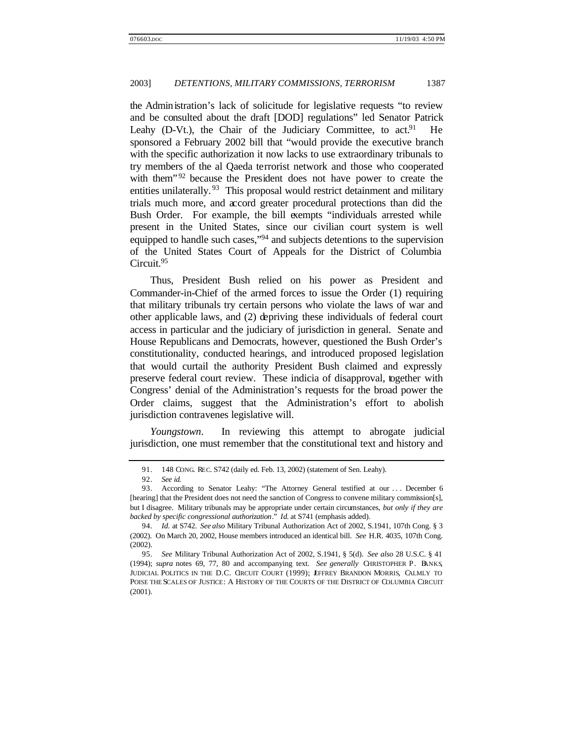the Administration's lack of solicitude for legislative requests "to review and be consulted about the draft [DOD] regulations" led Senator Patrick Leahy (D-Vt.), the Chair of the Judiciary Committee, to act.<sup>91</sup> He sponsored a February 2002 bill that "would provide the executive branch with the specific authorization it now lacks to use extraordinary tribunals to try members of the al Qaeda terrorist network and those who cooperated with them<sup>" 92</sup> because the President does not have power to create the entities unilaterally.<sup>93</sup> This proposal would restrict detainment and military trials much more, and accord greater procedural protections than did the Bush Order. For example, the bill exempts "individuals arrested while present in the United States, since our civilian court system is well equipped to handle such cases,"<sup>94</sup> and subjects detentions to the supervision of the United States Court of Appeals for the District of Columbia Circuit.<sup>95</sup>

Thus, President Bush relied on his power as President and Commander-in-Chief of the armed forces to issue the Order (1) requiring that military tribunals try certain persons who violate the laws of war and other applicable laws, and (2) depriving these individuals of federal court access in particular and the judiciary of jurisdiction in general. Senate and House Republicans and Democrats, however, questioned the Bush Order's constitutionality, conducted hearings, and introduced proposed legislation that would curtail the authority President Bush claimed and expressly preserve federal court review. These indicia of disapproval, together with Congress' denial of the Administration's requests for the broad power the Order claims, suggest that the Administration's effort to abolish jurisdiction contravenes legislative will.

*Youngstown*. In reviewing this attempt to abrogate judicial jurisdiction, one must remember that the constitutional text and history and

<sup>91.</sup> 148 CONG. REC. S742 (daily ed. Feb. 13, 2002) (statement of Sen. Leahy).

<sup>92.</sup> *See id.*

<sup>93.</sup> According to Senator Leahy: "The Attorney General testified at our . . . December 6 [hearing] that the President does not need the sanction of Congress to convene military commission[s], but I disagree. Military tribunals may be appropriate under certain circumstances, *but only if they are backed by specific congressional authorization*." *Id*. at S741 (emphasis added).

<sup>94.</sup> *Id.* at S742. *See also* Military Tribunal Authorization Act of 2002, S.1941, 107th Cong. § 3 (2002). On March 20, 2002, House members introduced an identical bill. *See* H.R. 4035, 107th Cong. (2002).

<sup>95.</sup> *See* Military Tribunal Authorization Act of 2002, S.1941, § 5(d). *See also* 28 U.S.C. § 41 (1994); *supra* notes 69, 77, 80 and accompanying text. *See generally* CHRISTOPHER P. BANKS, JUDICIAL POLITICS IN THE D.C. CIRCUIT COURT (1999); EFFREY BRANDON MORRIS, CALMLY TO POISE THE SCALES OF JUSTICE: A HISTORY OF THE COURTS OF THE DISTRICT OF COLUMBIA CIRCUIT (2001).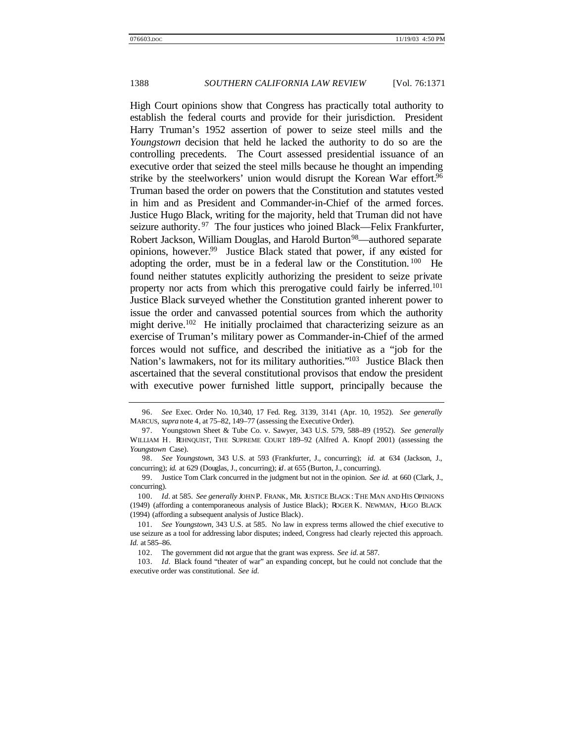High Court opinions show that Congress has practically total authority to establish the federal courts and provide for their jurisdiction. President Harry Truman's 1952 assertion of power to seize steel mills and the *Youngstown* decision that held he lacked the authority to do so are the controlling precedents. The Court assessed presidential issuance of an executive order that seized the steel mills because he thought an impending strike by the steelworkers' union would disrupt the Korean War effort.<sup>96</sup> Truman based the order on powers that the Constitution and statutes vested in him and as President and Commander-in-Chief of the armed forces. Justice Hugo Black, writing for the majority, held that Truman did not have seizure authority.<sup>97</sup> The four justices who joined Black—Felix Frankfurter, Robert Jackson, William Douglas, and Harold Burton<sup>98</sup>—authored separate opinions, however.<sup>99</sup> Justice Black stated that power, if any existed for adopting the order, must be in a federal law or the Constitution. <sup>100</sup> He found neither statutes explicitly authorizing the president to seize private property nor acts from which this prerogative could fairly be inferred.<sup>101</sup> Justice Black surveyed whether the Constitution granted inherent power to issue the order and canvassed potential sources from which the authority might derive.<sup>102</sup> He initially proclaimed that characterizing seizure as an exercise of Truman's military power as Commander-in-Chief of the armed forces would not suffice, and described the initiative as a "job for the Nation's lawmakers, not for its military authorities."<sup>103</sup> Justice Black then ascertained that the several constitutional provisos that endow the president with executive power furnished little support, principally because the

<sup>96.</sup> *See* Exec. Order No. 10,340, 17 Fed. Reg. 3139, 3141 (Apr. 10, 1952). *See generally* MARCUS, *supra* note 4, at 75–82, 149–77 (assessing the Executive Order).

<sup>97.</sup> Youngstown Sheet & Tube Co. v. Sawyer, 343 U.S. 579, 588–89 (1952). *See generally* WILLIAM H. REHNQUIST, THE SUPREME COURT 189–92 (Alfred A. Knopf 2001) (assessing the *Youngstown* Case).

<sup>98.</sup> *See Youngstown*, 343 U.S. at 593 (Frankfurter, J., concurring); *id.* at 634 (Jackson, J., concurring); *id.* at 629 (Douglas, J., concurring); *id*. at 655 (Burton, J., concurring).

<sup>99.</sup> Justice Tom Clark concurred in the judgment but not in the opinion. *See id.* at 660 (Clark, J., concurring).

<sup>100.</sup> *Id.* at 585. *See generally* JOHN P. FRANK, MR. JUSTICE BLACK : THE MAN AND HIS OPINIONS (1949) (affording a contemporaneous analysis of Justice Black); ROGER K. NEWMAN, HUGO BLACK (1994) (affording a subsequent analysis of Justice Black).

<sup>101.</sup> *See Youngstown*, 343 U.S. at 585. No law in express terms allowed the chief executive to use seizure as a tool for addressing labor disputes; indeed, Congress had clearly rejected this approach. *Id.* at 585–86.

<sup>102.</sup> The government did not argue that the grant was express. *See id.* at 587.

<sup>103.</sup> *Id.* Black found "theater of war" an expanding concept, but he could not conclude that the executive order was constitutional. *See id.*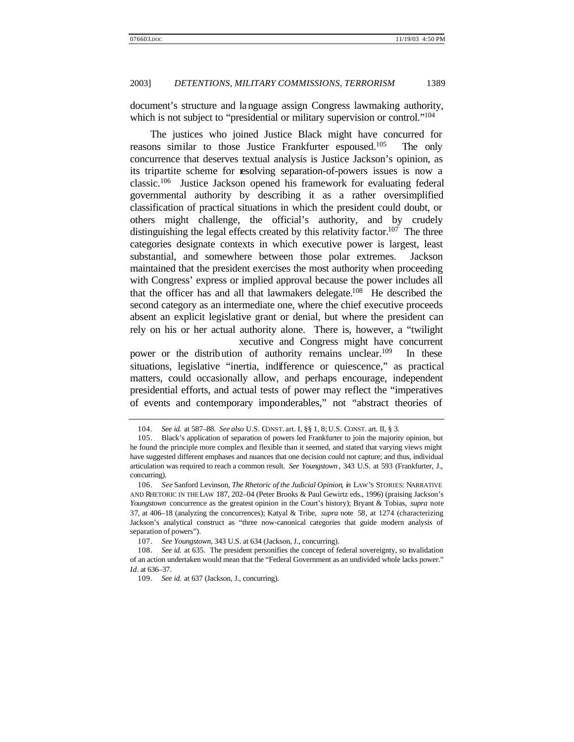document's structure and language assign Congress lawmaking authority, which is not subject to "presidential or military supervision or control."<sup>104</sup>

The justices who joined Justice Black might have concurred for reasons similar to those Justice Frankfurter espoused.<sup>105</sup> The only concurrence that deserves textual analysis is Justice Jackson's opinion, as its tripartite scheme for resolving separation-of-powers issues is now a classic.<sup>106</sup> Justice Jackson opened his framework for evaluating federal governmental authority by describing it as a rather oversimplified classification of practical situations in which the president could doubt, or others might challenge, the official's authority, and by crudely distinguishing the legal effects created by this relativity factor.<sup>107</sup> The three categories designate contexts in which executive power is largest, least substantial, and somewhere between those polar extremes. Jackson maintained that the president exercises the most authority when proceeding with Congress' express or implied approval because the power includes all that the officer has and all that lawmakers delegate.<sup>108</sup> He described the second category as an intermediate one, where the chief executive proceeds absent an explicit legislative grant or denial, but where the president can rely on his or her actual authority alone. There is, however, a "twilight xecutive and Congress might have concurrent

power or the distribution of authority remains unclear.<sup>109</sup> In these situations, legislative "inertia, indifference or quiescence," as practical matters, could occasionally allow, and perhaps encourage, independent presidential efforts, and actual tests of power may reflect the "imperatives of events and contemporary imponderables," not "abstract theories of

<sup>104.</sup> *See id.* at 587–88. *See also* U.S. CONST. art. I, §§ 1, 8; U.S. CONST. art. II, § 3.

<sup>105.</sup> Black's application of separation of powers led Frankfurter to join the majority opinion, but he found the principle more complex and flexible than it seemed, and stated that varying views might have suggested different emphases and nuances that one decision could not capture; and thus, individual articulation was required to reach a common result. *See Youngstown* , 343 U.S. at 593 (Frankfurter, J., concurring).

<sup>106.</sup> *See* Sanford Levinson, *The Rhetoric of the Judicial Opinion*, *in* LAW'S STORIES: NARRATIVE AND RHETORIC IN THE LAW 187, 202–04 (Peter Brooks & Paul Gewirtz eds., 1996) (praising Jackson's *Youngstown* concurrence as the greatest opinion in the Court's history); Bryant & Tobias, *supra* note 37, at 406–18 (analyzing the concurrences); Katyal & Tribe, *supra* note 58, at 1274 (characterizing Jackson's analytical construct as "three now-canonical categories that guide modern analysis of separation of powers").

<sup>107.</sup> *See Youngstown*, 343 U.S. at 634 (Jackson, J., concurring).

<sup>108.</sup> *See id.* at 635. The president personifies the concept of federal sovereignty, so invalidation of an action undertaken would mean that the "Federal Government as an undivided whole lacks power." *Id*. at 636–37.

<sup>109.</sup> *See id.* at 637 (Jackson, J., concurring).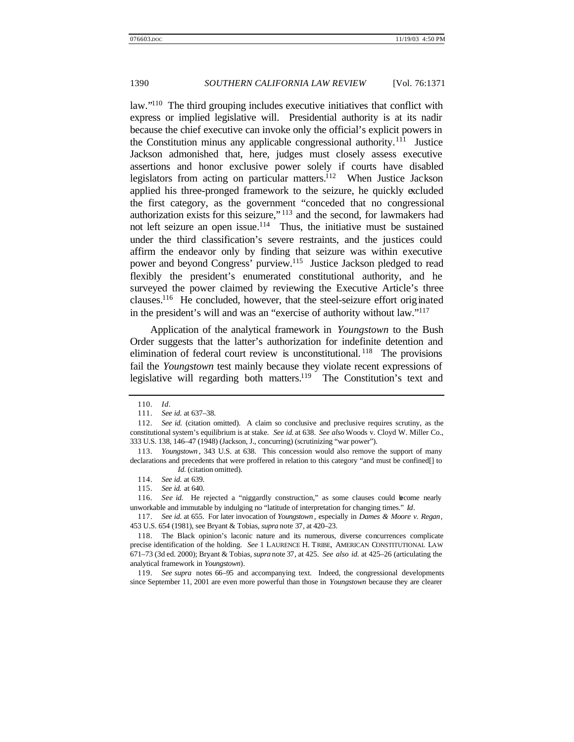law."<sup>110</sup> The third grouping includes executive initiatives that conflict with express or implied legislative will. Presidential authority is at its nadir because the chief executive can invoke only the official's explicit powers in the Constitution minus any applicable congressional authority.<sup>111</sup> Justice Jackson admonished that, here, judges must closely assess executive assertions and honor exclusive power solely if courts have disabled legislators from acting on particular matters.<sup>112</sup> When Justice Jackson applied his three-pronged framework to the seizure, he quickly excluded the first category, as the government "conceded that no congressional authorization exists for this seizure," <sup>113</sup> and the second, for lawmakers had not left seizure an open issue.<sup>114</sup> Thus, the initiative must be sustained under the third classification's severe restraints, and the justices could affirm the endeavor only by finding that seizure was within executive power and beyond Congress' purview.<sup>115</sup> Justice Jackson pledged to read flexibly the president's enumerated constitutional authority, and he surveyed the power claimed by reviewing the Executive Article's three clauses.<sup>116</sup> He concluded, however, that the steel-seizure effort originated in the president's will and was an "exercise of authority without law."<sup>117</sup>

Application of the analytical framework in *Youngstown* to the Bush Order suggests that the latter's authorization for indefinite detention and elimination of federal court review is unconstitutional.  $118$  The provisions fail the *Youngstown* test mainly because they violate recent expressions of legislative will regarding both matters.<sup>119</sup> The Constitution's text and

<sup>110.</sup> *Id*.

<sup>111.</sup> *See id*. at 637–38.

<sup>112.</sup> *See id.* (citation omitted). A claim so conclusive and preclusive requires scrutiny, as the constitutional system's equilibrium is at stake. *See id.* at 638. *See also* Woods v. Cloyd W. Miller Co., 333 U.S. 138, 146–47 (1948) (Jackson, J., concurring) (scrutinizing "war power").

<sup>113.</sup> *Youngstown* , 343 U.S. at 638. This concession would also remove the support of many declarations and precedents that were proffered in relation to this category "and must be confined[] to *Id.* (citation omitted).

<sup>114.</sup> *See id*. at 639.

<sup>115.</sup> *See id.* at 640.

<sup>116.</sup> *See id*. He rejected a "niggardly construction," as some clauses could become nearly unworkable and immutable by indulging no "latitude of interpretation for changing times." *Id*.

<sup>117.</sup> *See id*. at 655. For later invocation of *Youngstown* , especially in *Dames & Moore v. Regan*, 453 U.S. 654 (1981), see Bryant & Tobias, *supra* note 37, at 420–23.

<sup>118.</sup> The Black opinion's laconic nature and its numerous, diverse concurrences complicate precise identification of the holding. *See* 1 LAURENCE H. TRIBE, AMERICAN CONSTITUTIONAL LAW 671–73 (3d ed. 2000); Bryant & Tobias, *supra* note 37, at 425. *See also id.* at 425–26 (articulating the analytical framework in *Youngstown*).

<sup>119.</sup> *See supra* notes 66–95 and accompanying text. Indeed, the congressional developments since September 11, 2001 are even more powerful than those in *Youngstown* because they are clearer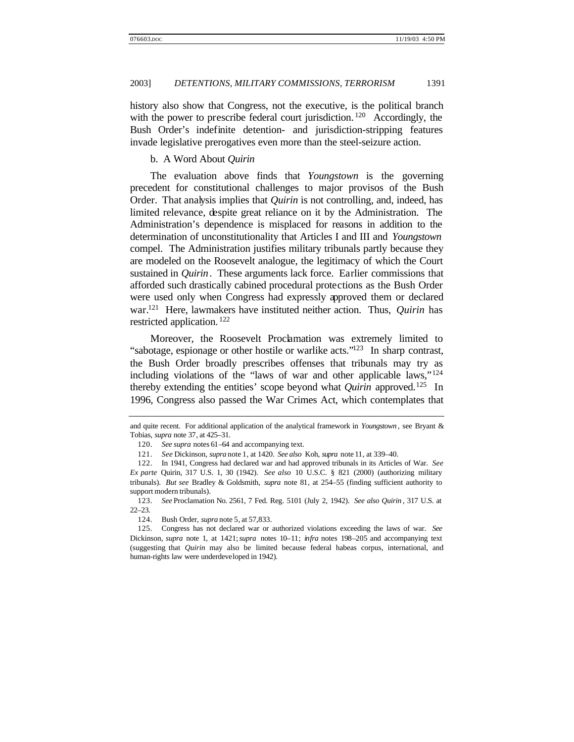history also show that Congress, not the executive, is the political branch with the power to prescribe federal court jurisdiction.<sup>120</sup> Accordingly, the Bush Order's indefinite detention- and jurisdiction-stripping features invade legislative prerogatives even more than the steel-seizure action.

## b. A Word About *Quirin*

The evaluation above finds that *Youngstown* is the governing precedent for constitutional challenges to major provisos of the Bush Order. That analysis implies that *Quirin* is not controlling, and, indeed, has limited relevance, despite great reliance on it by the Administration. The Administration's dependence is misplaced for reasons in addition to the determination of unconstitutionality that Articles I and III and *Youngstown* compel. The Administration justifies military tribunals partly because they are modeled on the Roosevelt analogue, the legitimacy of which the Court sustained in *Quirin*. These arguments lack force. Earlier commissions that afforded such drastically cabined procedural protections as the Bush Order were used only when Congress had expressly approved them or declared war.<sup>121</sup> Here, lawmakers have instituted neither action. Thus, *Quirin* has restricted application. <sup>122</sup>

Moreover, the Roosevelt Proclamation was extremely limited to "sabotage, espionage or other hostile or warlike acts."<sup>123</sup> In sharp contrast, the Bush Order broadly prescribes offenses that tribunals may try as including violations of the "laws of war and other applicable laws,"<sup>124</sup> thereby extending the entities' scope beyond what *Quirin* approved.<sup>125</sup> In 1996, Congress also passed the War Crimes Act, which contemplates that

and quite recent. For additional application of the analytical framework in *Youngstown* , see Bryant & Tobias, *supra* note 37, at 425–31.

<sup>120.</sup> *See supra* notes 61–64 and accompanying text.

<sup>121.</sup> *See* Dickinson, *supra* note 1, at 1420. *See also* Koh, *supra* note 11, at 339–40.

<sup>122.</sup> In 1941, Congress had declared war and had approved tribunals in its Articles of War. *See Ex parte* Quirin, 317 U.S. 1, 30 (1942). *See also* 10 U.S.C. § 821 (2000) (authorizing military tribunals). *But see* Bradley & Goldsmith, *supra* note 81, at 254–55 (finding sufficient authority to support modern tribunals).

<sup>123.</sup> *See* Proclamation No. 2561, 7 Fed. Reg. 5101 (July 2, 1942). *See also Quirin* , 317 U.S. at 22–23.

<sup>124.</sup> Bush Order, *supra* note 5, at 57,833.

<sup>125.</sup> Congress has not declared war or authorized violations exceeding the laws of war. *See* Dickinson, *supra* note 1, at 1421; *supra* notes 10–11; *infra* notes 198–205 and accompanying text (suggesting that *Quirin* may also be limited because federal habeas corpus, international, and human-rights law were underdeveloped in 1942).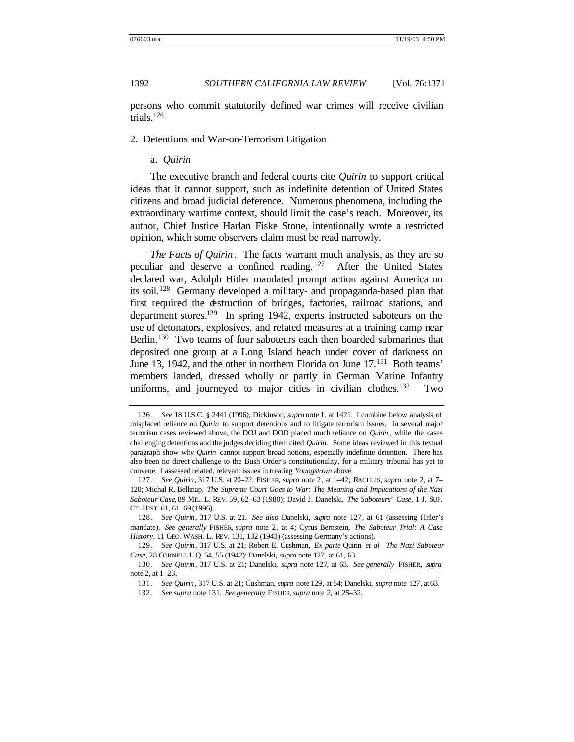persons who commit statutorily defined war crimes will receive civilian trials. $126$ 

2. Detentions and War-on-Terrorism Litigation

## a. *Quirin*

The executive branch and federal courts cite *Quirin* to support critical ideas that it cannot support, such as indefinite detention of United States citizens and broad judicial deference. Numerous phenomena, including the extraordinary wartime context, should limit the case's reach. Moreover, its author, Chief Justice Harlan Fiske Stone, intentionally wrote a restricted opinion, which some observers claim must be read narrowly.

*The Facts of Quirin*. The facts warrant much analysis, as they are so peculiar and deserve a confined reading. <sup>127</sup> After the United States declared war, Adolph Hitler mandated prompt action against America on its soil.<sup>128</sup> Germany developed a military- and propaganda-based plan that first required the destruction of bridges, factories, railroad stations, and department stores.<sup>129</sup> In spring 1942, experts instructed saboteurs on the use of detonators, explosives, and related measures at a training camp near Berlin.<sup>130</sup> Two teams of four saboteurs each then boarded submarines that deposited one group at a Long Island beach under cover of darkness on June 13, 1942, and the other in northern Florida on June 17.<sup>131</sup> Both teams' members landed, dressed wholly or partly in German Marine Infantry uniforms, and journeyed to major cities in civilian clothes.<sup>132</sup> Two

<sup>126.</sup> *See* 18 U.S.C. § 2441 (1996); Dickinson, *supra* note 1, at 1421. I combine below analysis of misplaced reliance on *Quirin* to support detentions and to litigate terrorism issues. In several major terrorism cases reviewed above, the DOJ and DOD placed much reliance on *Quirin* , while the cases challenging detentions and the judges deciding them cited *Quirin*. Some ideas reviewed in this textual paragraph show why *Quirin* cannot support broad notions, especially indefinite detention. There has also been no direct challenge to the Bush Order's constitutionality, for a military tribunal has yet to convene. I assessed related, relevant issues in treating *Youngstown* above.

<sup>127.</sup> *See Quirin*, 317 U.S. at 20–22; FISHER, *supra* note 2, at 1–42; RACHLIS, *supra* note 2, at 7– 120; Michal R. Belknap, *The Supreme Court Goes to War: The Meaning and Implications of the Nazi Saboteur Case*, 89 MIL. L. REV. 59, 62–63 (1980); David J. Danelski, *The Saboteurs*' *Case*, 1 J. SUP. CT. HIST. 61, 61–69 (1996).

<sup>128.</sup> *See Quirin*, 317 U.S. at 21. *See also* Danelski, *supra* note 127, at 61 (assessing Hitler's mandate). *See generally* FISHER, *supra* note 2, at 4; Cyrus Bernstein, *The Saboteur Trial: A Case History*, 11 GEO. WASH. L. REV. 131, 132 (1943) (assessing Germany's actions).

<sup>129.</sup> *See Quirin*, 317 U.S. at 21; Robert E. Cushman, *Ex parte* Quirin *et al—The Nazi Saboteur Case*, 28 CORNELL L.Q. 54, 55 (1942); Danelski, *supra* note 127, at 61, 63.

<sup>130.</sup> *See Quirin*, 317 U.S. at 21; Danelski, *supra* note 127, at 63. *See generally* FISHER, *supra* note 2, at 1–23.

<sup>131.</sup> *See Quirin*, 317 U.S. at 21; Cushman, *supra* note 129, at 54; Danelski, *supra* note 127, at 63.

<sup>132.</sup> *See supra* note 131. *See generally* FISHER, *supra* note 2, at 25–32.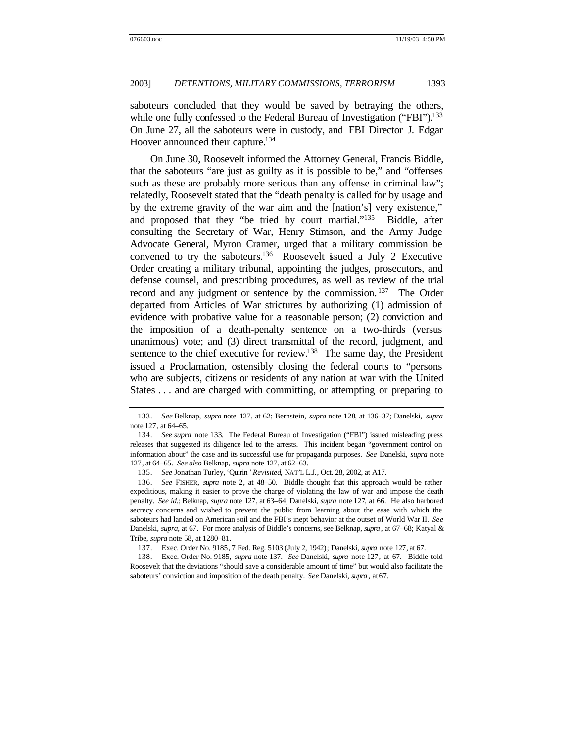saboteurs concluded that they would be saved by betraying the others, while one fully confessed to the Federal Bureau of Investigation ("FBI").<sup>133</sup> On June 27, all the saboteurs were in custody, and FBI Director J. Edgar Hoover announced their capture.<sup>134</sup>

On June 30, Roosevelt informed the Attorney General, Francis Biddle, that the saboteurs "are just as guilty as it is possible to be," and "offenses such as these are probably more serious than any offense in criminal law"; relatedly, Roosevelt stated that the "death penalty is called for by usage and by the extreme gravity of the war aim and the [nation's] very existence," and proposed that they "be tried by court martial."<sup>135</sup> Biddle, after consulting the Secretary of War, Henry Stimson, and the Army Judge Advocate General, Myron Cramer, urged that a military commission be convened to try the saboteurs.<sup>136</sup> Roosevelt issued a July 2 Executive Order creating a military tribunal, appointing the judges, prosecutors, and defense counsel, and prescribing procedures, as well as review of the trial record and any judgment or sentence by the commission.<sup>137</sup> The Order departed from Articles of War strictures by authorizing (1) admission of evidence with probative value for a reasonable person; (2) conviction and the imposition of a death-penalty sentence on a two-thirds (versus unanimous) vote; and (3) direct transmittal of the record, judgment, and sentence to the chief executive for review.<sup>138</sup> The same day, the President issued a Proclamation, ostensibly closing the federal courts to "persons who are subjects, citizens or residents of any nation at war with the United States . . . and are charged with committing, or attempting or preparing to

137. Exec. Order No. 9185, 7 Fed. Reg. 5103 (July 2, 1942); Danelski, *supra* note 127, at 67.

138. Exec. Order No. 9185, *supra* note 137. *See* Danelski, *supra* note 127, at 67. Biddle told Roosevelt that the deviations "should save a considerable amount of time" but would also facilitate the saboteurs' conviction and imposition of the death penalty. *See* Danelski, *supra* , at 67.

<sup>133.</sup> *See* Belknap, *supra* note 127, at 62; Bernstein, *supra* note 128, at 136–37; Danelski, *supra* note 127, at 64–65.

<sup>134.</sup> *See supra* note 133. The Federal Bureau of Investigation ("FBI") issued misleading press releases that suggested its diligence led to the arrests. This incident began "government control on information about" the case and its successful use for propaganda purposes. *See* Danelski, *supra* note 127, at 64–65. *See also* Belknap, *supra* note 127, at 62–63.

<sup>135.</sup> *See* Jonathan Turley, *'*Quirin *' Revisited*, NAT'L L.J., Oct. 28, 2002, at A17.

<sup>136.</sup> *See* FISHER, *supra* note 2, at 48–50. Biddle thought that this approach would be rather expeditious, making it easier to prove the charge of violating the law of war and impose the death penalty. *See id.*; Belknap, *supra* note 127, at 63–64; Danelski, *supra* note 127, at 66. He also harbored secrecy concerns and wished to prevent the public from learning about the ease with which the saboteurs had landed on American soil and the FBI's inept behavior at the outset of World War II. *See* Danelski, *supra*, at 67. For more analysis of Biddle's concerns, see Belknap, *supra* , at 67–68; Katyal & Tribe, *supra* note 58, at 1280–81.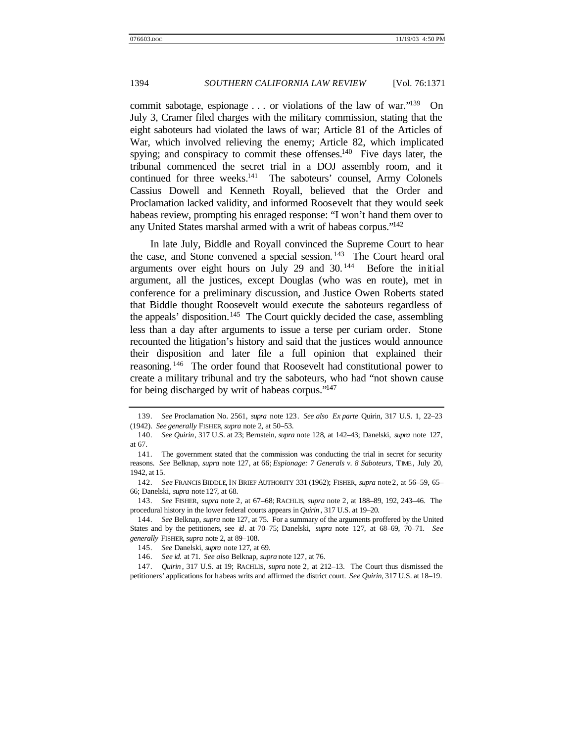commit sabotage, espionage . . . or violations of the law of war."<sup>139</sup> On July 3, Cramer filed charges with the military commission, stating that the eight saboteurs had violated the laws of war; Article 81 of the Articles of War, which involved relieving the enemy; Article 82, which implicated spying; and conspiracy to commit these offenses.<sup>140</sup> Five days later, the tribunal commenced the secret trial in a DOJ assembly room, and it continued for three weeks.<sup>141</sup> The saboteurs' counsel, Army Colonels Cassius Dowell and Kenneth Royall, believed that the Order and Proclamation lacked validity, and informed Roosevelt that they would seek habeas review, prompting his enraged response: "I won't hand them over to any United States marshal armed with a writ of habeas corpus."<sup>142</sup>

In late July, Biddle and Royall convinced the Supreme Court to hear the case, and Stone convened a special session.<sup>143</sup> The Court heard oral arguments over eight hours on July 29 and 30.<sup>144</sup> Before the initial argument, all the justices, except Douglas (who was en route), met in conference for a preliminary discussion, and Justice Owen Roberts stated that Biddle thought Roosevelt would execute the saboteurs regardless of the appeals' disposition.<sup>145</sup> The Court quickly decided the case, assembling less than a day after arguments to issue a terse per curiam order. Stone recounted the litigation's history and said that the justices would announce their disposition and later file a full opinion that explained their reasoning. <sup>146</sup> The order found that Roosevelt had constitutional power to create a military tribunal and try the saboteurs, who had "not shown cause for being discharged by writ of habeas corpus."<sup>147</sup>

<sup>139.</sup> *See* Proclamation No. 2561, *supra* note 123. *See also Ex parte* Quirin, 317 U.S. 1, 22–23 (1942). *See generally* FISHER, *supra* note 2, at 50–53.

<sup>140.</sup> *See Quirin*, 317 U.S. at 23; Bernstein, *supra* note 128, at 142–43; Danelski, *supra* note 127, at 67.

<sup>141.</sup> The government stated that the commission was conducting the trial in secret for security reasons. *See* Belknap, *supra* note 127, at 66; *Espionage: 7 Generals v. 8 Saboteurs*, TIME, July 20, 1942, at 15.

<sup>142.</sup> *See* FRANCIS BIDDLE, IN BRIEF AUTHORITY 331 (1962); FISHER, *supra* note 2, at 56–59, 65– 66; Danelski, *supra* note 127, at 68.

<sup>143.</sup> *See* FISHER, *supra* note 2, at 67–68; RACHLIS, *supra* note 2, at 188–89, 192, 243–46. The procedural history in the lower federal courts appears in *Quirin* , 317 U.S. at 19–20.

<sup>144.</sup> *See* Belknap, *supra* note 127, at 75. For a summary of the arguments proffered by the United States and by the petitioners, see *id*. at 70–75; Danelski, *supra* note 127, at 68–69, 70–71. *See generally* FISHER, *supra* note 2, at 89–108.

<sup>145.</sup> *See* Danelski, *supra* note 127, at 69.

<sup>146.</sup> *See id.* at 71. *See also* Belknap, *supra* note 127, at 76.

<sup>147.</sup> *Quirin* , 317 U.S. at 19; RACHLIS, *supra* note 2, at 212–13. The Court thus dismissed the petitioners' applications for habeas writs and affirmed the district court. *See Quirin*, 317 U.S. at 18–19.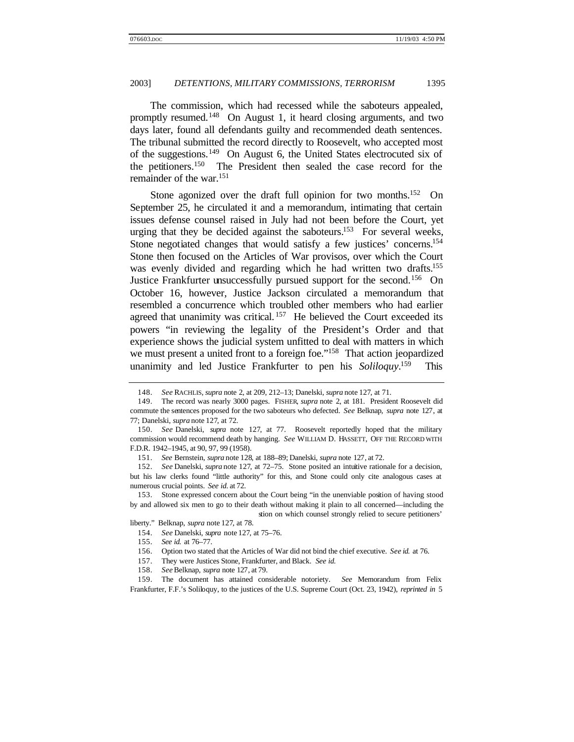The commission, which had recessed while the saboteurs appealed, promptly resumed.<sup>148</sup> On August 1, it heard closing arguments, and two days later, found all defendants guilty and recommended death sentences. The tribunal submitted the record directly to Roosevelt, who accepted most of the suggestions.<sup>149</sup> On August 6, the United States electrocuted six of the petitioners.<sup>150</sup> The President then sealed the case record for the remainder of the war.<sup>151</sup>

Stone agonized over the draft full opinion for two months.<sup>152</sup> On September 25, he circulated it and a memorandum, intimating that certain issues defense counsel raised in July had not been before the Court, yet urging that they be decided against the saboteurs.<sup>153</sup> For several weeks, Stone negotiated changes that would satisfy a few justices' concerns.<sup>154</sup> Stone then focused on the Articles of War provisos, over which the Court was evenly divided and regarding which he had written two drafts.<sup>155</sup> Justice Frankfurter unsuccessfully pursued support for the second.<sup>156</sup> On October 16, however, Justice Jackson circulated a memorandum that resembled a concurrence which troubled other members who had earlier agreed that unanimity was critical.<sup>157</sup> He believed the Court exceeded its powers "in reviewing the legality of the President's Order and that experience shows the judicial system unfitted to deal with matters in which we must present a united front to a foreign foe."<sup>158</sup> That action jeopardized unanimity and led Justice Frankfurter to pen his *Soliloquy*. This

151. *See* Bernstein, *supra* note 128, at 188–89; Danelski, *supra* note 127, at 72.

152. *See* Danelski, *supra* note 127, at 72–75. Stone posited an intuitive rationale for a decision, but his law clerks found "little authority" for this, and Stone could only cite analogous cases at numerous crucial points. *See id.* at 72.

153. Stone expressed concern about the Court being "in the unenviable position of having stood by and allowed six men to go to their death without making it plain to all concerned—including the stion on which counsel strongly relied to secure petitioners'

liberty." Belknap, *supra* note 127, at 78.

- 154. *See* Danelski, *supra* note 127, at 75–76.
- 155. *See id.* at 76–77.
- 156. Option two stated that the Articles of War did not bind the chief executive. *See id.* at 76.

157. They were Justices Stone, Frankfurter, and Black. *See id.*

158. *See* Belknap, *supra* note 127, at 79.

159. The document has attained considerable notoriety. *See* Memorandum from Felix Frankfurter, F.F.'s Soliloquy, to the justices of the U.S. Supreme Court (Oct. 23, 1942), *reprinted in* 5

<sup>148.</sup> *See* RACHLIS, *supra* note 2, at 209, 212–13; Danelski, *supra* note 127, at 71.

<sup>149.</sup> The record was nearly 3000 pages. FISHER, *supra* note 2, at 181. President Roosevelt did commute the sentences proposed for the two saboteurs who defected. *See* Belknap, *supra* note 127, at 77; Danelski, *supra* note 127, at 72.

<sup>150.</sup> *See* Danelski, *supra* note 127, at 77. Roosevelt reportedly hoped that the military commission would recommend death by hanging. *See* WILLIAM D. HASSETT, OFF THE RECORD WITH F.D.R. 1942–1945, at 90, 97, 99 (1958).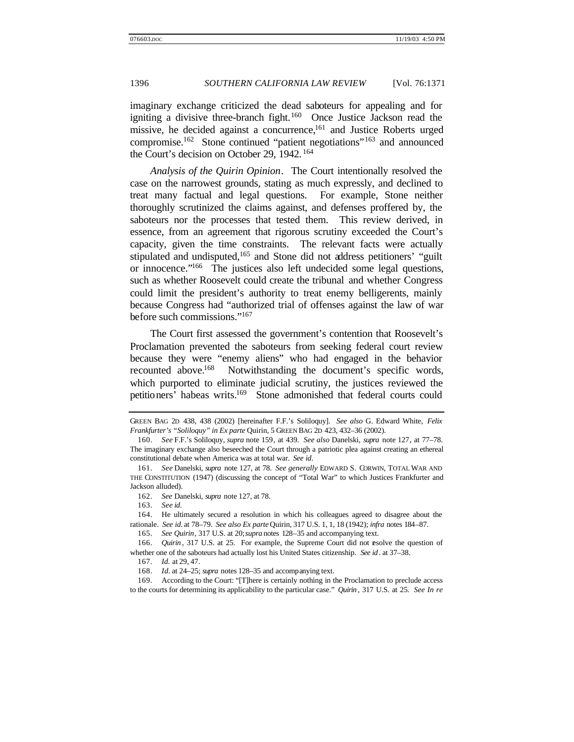imaginary exchange criticized the dead saboteurs for appealing and for igniting a divisive three-branch fight.<sup>160</sup> Once Justice Jackson read the missive, he decided against a concurrence,<sup>161</sup> and Justice Roberts urged compromise.<sup>162</sup> Stone continued "patient negotiations"<sup>163</sup> and announced the Court's decision on October 29, 1942. <sup>164</sup>

*Analysis of the Quirin Opinion*. The Court intentionally resolved the case on the narrowest grounds, stating as much expressly, and declined to treat many factual and legal questions. For example, Stone neither thoroughly scrutinized the claims against, and defenses proffered by, the saboteurs nor the processes that tested them. This review derived, in essence, from an agreement that rigorous scrutiny exceeded the Court's capacity, given the time constraints. The relevant facts were actually stipulated and undisputed,<sup>165</sup> and Stone did not address petitioners' "guilt" or innocence."<sup>166</sup> The justices also left undecided some legal questions, such as whether Roosevelt could create the tribunal and whether Congress could limit the president's authority to treat enemy belligerents, mainly because Congress had "authorized trial of offenses against the law of war before such commissions."<sup>167</sup>

The Court first assessed the government's contention that Roosevelt's Proclamation prevented the saboteurs from seeking federal court review because they were "enemy aliens" who had engaged in the behavior recounted above.<sup>168</sup> Notwithstanding the document's specific words, which purported to eliminate judicial scrutiny, the justices reviewed the petitioners' habeas writs.<sup>169</sup> Stone admonished that federal courts could

GREEN BAG 2D 438, 438 (2002) [hereinafter F.F.'s Soliloquy]. *See also* G. Edward White, *Felix Frankfurter's "Soliloquy" in Ex parte* Quirin, 5 GREEN BAG 2D 423, 432–36 (2002).

<sup>160.</sup> *See* F.F.'s Soliloquy, *supra* note 159, at 439. *See also* Danelski, *supra* note 127, at 77–78. The imaginary exchange also beseeched the Court through a patriotic plea against creating an ethereal constitutional debate when America was at total war. *See id*.

<sup>161.</sup> *See* Danelski, *supra* note 127, at 78. *See generally* EDWARD S. CORWIN, TOTAL WAR AND THE CONSTITUTION (1947) (discussing the concept of "Total War" to which Justices Frankfurter and Jackson alluded).

<sup>162.</sup> *See* Danelski, *supra* note 127, at 78.

<sup>163.</sup> *See id*.

<sup>164.</sup> He ultimately secured a resolution in which his colleagues agreed to disagree about the rationale. *See id.* at 78–79. *See also Ex parte* Quirin, 317 U.S. 1, 1, 18 (1942); *infra* notes 184–87.

<sup>165.</sup> *See Quirin*, 317 U.S. at 20; *supra* notes 128–35 and accompanying text.

<sup>166.</sup> *Quirin*, 317 U.S. at 25. For example, the Supreme Court did not esolve the question of whether one of the saboteurs had actually lost his United States citizenship. *See id* . at 37–38.

<sup>167.</sup> *Id.* at 29, 47.

<sup>168.</sup> *Id.* at 24–25; *supra* notes 128–35 and accompanying text.

<sup>169.</sup> According to the Court: "[T]here is certainly nothing in the Proclamation to preclude access to the courts for determining its applicability to the particular case." *Quirin* , 317 U.S. at 25. *See In re*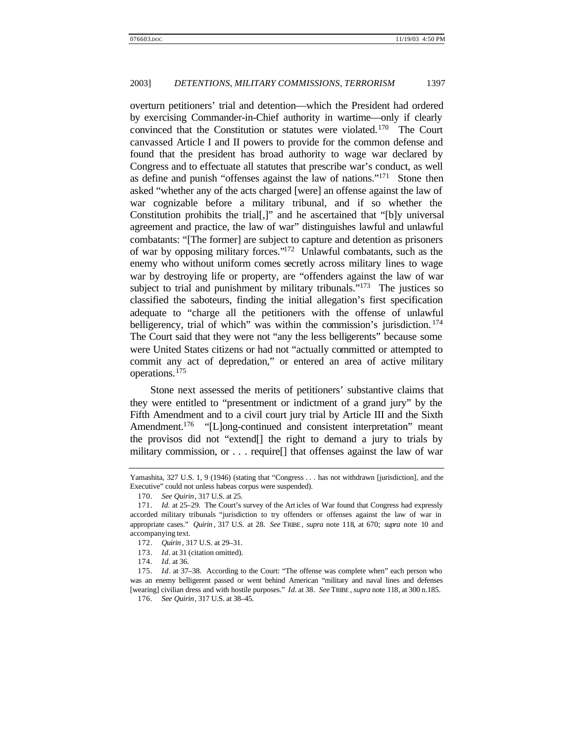overturn petitioners' trial and detention—which the President had ordered by exercising Commander-in-Chief authority in wartime—only if clearly convinced that the Constitution or statutes were violated.<sup>170</sup> The Court canvassed Article I and II powers to provide for the common defense and found that the president has broad authority to wage war declared by Congress and to effectuate all statutes that prescribe war's conduct, as well as define and punish "offenses against the law of nations."<sup>171</sup> Stone then asked "whether any of the acts charged [were] an offense against the law of war cognizable before a military tribunal, and if so whether the Constitution prohibits the trial[,]" and he ascertained that "[b]y universal agreement and practice, the law of war" distinguishes lawful and unlawful combatants: "[The former] are subject to capture and detention as prisoners of war by opposing military forces."<sup>172</sup> Unlawful combatants, such as the enemy who without uniform comes secretly across military lines to wage war by destroying life or property, are "offenders against the law of war subject to trial and punishment by military tribunals."<sup>173</sup> The justices so classified the saboteurs, finding the initial allegation's first specification adequate to "charge all the petitioners with the offense of unlawful belligerency, trial of which" was within the commission's jurisdiction.<sup>174</sup> The Court said that they were not "any the less belligerents" because some were United States citizens or had not "actually committed or attempted to commit any act of depredation," or entered an area of active military operations.<sup>175</sup>

Stone next assessed the merits of petitioners' substantive claims that they were entitled to "presentment or indictment of a grand jury" by the Fifth Amendment and to a civil court jury trial by Article III and the Sixth Amendment.<sup>176</sup> "[L]ong-continued and consistent interpretation" meant the provisos did not "extend[] the right to demand a jury to trials by military commission, or . . . require[] that offenses against the law of war

Yamashita, 327 U.S. 1, 9 (1946) (stating that "Congress . . . has not withdrawn [jurisdiction], and the Executive" could not unless habeas corpus were suspended).

<sup>170.</sup> *See Quirin*, 317 U.S. at 25.

<sup>171.</sup> *Id.* at 25-29. The Court's survey of the Art icles of War found that Congress had expressly accorded military tribunals "jurisdiction to try offenders or offenses against the law of war in appropriate cases." *Quirin* , 317 U.S. at 28. *See* TRIBE, *supra* note 118, at 670; *supra* note 10 and accompanying text.

<sup>172.</sup> *Quirin* , 317 U.S. at 29–31.

<sup>173.</sup> *Id*. at 31 (citation omitted).

<sup>174.</sup> *Id*. at 36.

<sup>175.</sup> *Id*. at 37–38. According to the Court: "The offense was complete when" each person who was an enemy belligerent passed or went behind American "military and naval lines and defenses [wearing] civilian dress and with hostile purposes." *Id.* at 38. *See* TRIBE, *supra* note 118, at 300 n.185. 176. *See Quirin*, 317 U.S. at 38–45.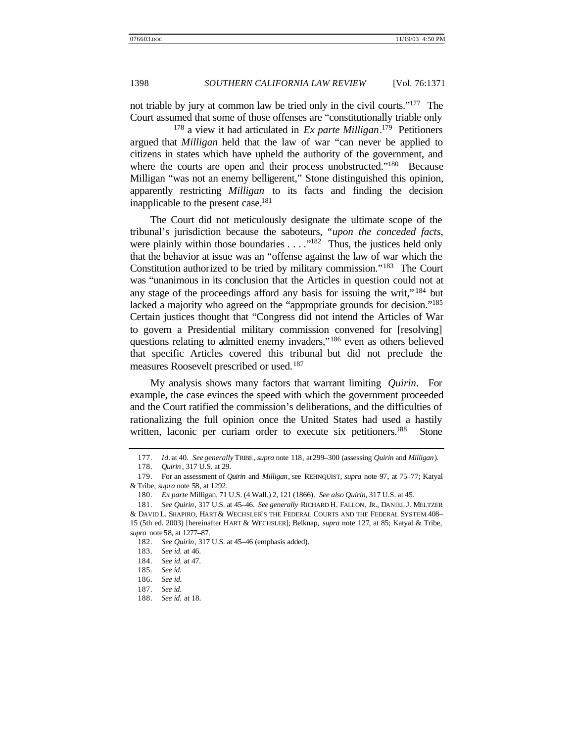not triable by jury at common law be tried only in the civil courts."<sup>177</sup> The Court assumed that some of those offenses are "constitutionally triable only

<sup>178</sup> a view it had articulated in *Ex parte Milligan*. <sup>179</sup> Petitioners argued that *Milligan* held that the law of war "can never be applied to citizens in states which have upheld the authority of the government, and where the courts are open and their process unobstructed."<sup>180</sup> Because Milligan "was not an enemy belligerent," Stone distinguished this opinion, apparently restricting *Milligan* to its facts and finding the decision inapplicable to the present case.<sup>181</sup>

The Court did not meticulously designate the ultimate scope of the tribunal's jurisdiction because the saboteurs, "*upon the conceded facts*, were plainly within those boundaries  $\dots$  ."<sup>182</sup> Thus, the justices held only that the behavior at issue was an "offense against the law of war which the Constitution authorized to be tried by military commission."<sup>183</sup> The Court was "unanimous in its conclusion that the Articles in question could not at any stage of the proceedings afford any basis for issuing the writ," <sup>184</sup> but lacked a majority who agreed on the "appropriate grounds for decision."<sup>185</sup> Certain justices thought that "Congress did not intend the Articles of War to govern a Presidential military commission convened for [resolving] questions relating to admitted enemy invaders,"<sup>186</sup> even as others believed that specific Articles covered this tribunal but did not preclude the measures Roosevelt prescribed or used.<sup>187</sup>

My analysis shows many factors that warrant limiting *Quirin*. For example, the case evinces the speed with which the government proceeded and the Court ratified the commission's deliberations, and the difficulties of rationalizing the full opinion once the United States had used a hastily written, laconic per curiam order to execute six petitioners.<sup>188</sup> Stone

*supra* note 58, at 1277–87.

<sup>177.</sup> *Id.* at 40. *See generally* TRIBE, *supra* note 118, at 299–300 (assessing *Quirin* and *Milligan*).

<sup>178.</sup> *Quirin* , 317 U.S. at 29.

<sup>179.</sup> For an assessment of *Quirin* and *Milligan*, see REHNQUIST, *supra* note 97, at 75–77; Katyal & Tribe, *supra* note 58, at 1292.

<sup>180.</sup> *Ex parte* Milligan, 71 U.S. (4 Wall.) 2, 121 (1866). *See also Quirin*, 317 U.S. at 45.

<sup>181.</sup> *See Quirin*, 317 U.S. at 45–46. *See generally* RICHARD H. FALLON, JR., DANIEL J. MELTZER & DAVID L. SHAPIRO, HART & WECHSLER'S THE FEDERAL COURTS AND THE FEDERAL SYSTEM 408– 15 (5th ed. 2003) [hereinafter HART & WECHSLER]; Belknap, *supra* note 127, at 85; Katyal & Tribe,

<sup>182.</sup> *See Quirin*, 317 U.S. at 45–46 (emphasis added).

<sup>183.</sup> *See id*. at 46.

<sup>184.</sup> *See id*. at 47.

<sup>185.</sup> *See id.*

<sup>186.</sup> *See id*.

<sup>187.</sup> *See id.*

<sup>188.</sup> *See id.* at 18.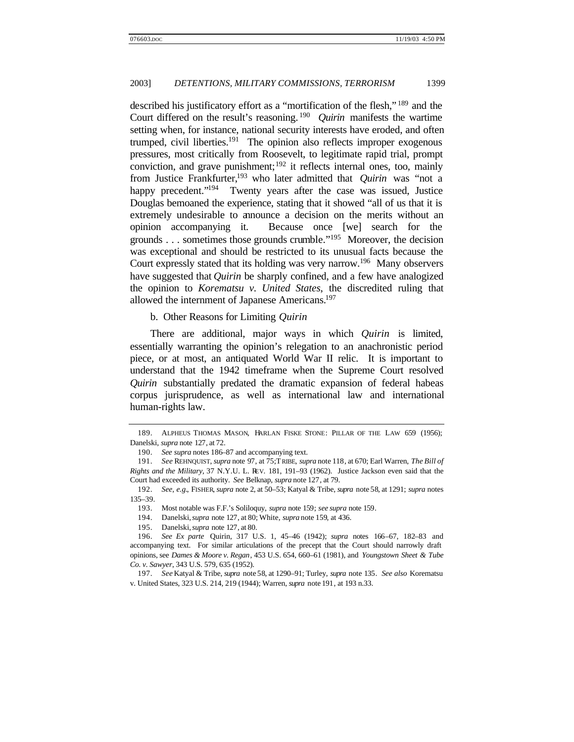described his justificatory effort as a "mortification of the flesh," <sup>189</sup> and the Court differed on the result's reasoning.<sup>190</sup> *Quirin* manifests the wartime setting when, for instance, national security interests have eroded, and often trumped, civil liberties.<sup>191</sup> The opinion also reflects improper exogenous pressures, most critically from Roosevelt, to legitimate rapid trial, prompt conviction, and grave punishment;<sup>192</sup> it reflects internal ones, too, mainly from Justice Frankfurter,<sup>193</sup> who later admitted that *Quirin* was "not a happy precedent."<sup>194</sup> Twenty years after the case was issued, Justice Douglas bemoaned the experience, stating that it showed "all of us that it is extremely undesirable to announce a decision on the merits without an opinion accompanying it. Because once [we] search for the grounds . . . sometimes those grounds crumble."<sup>195</sup> Moreover, the decision was exceptional and should be restricted to its unusual facts because the Court expressly stated that its holding was very narrow.<sup>196</sup> Many observers have suggested that *Quirin* be sharply confined, and a few have analogized the opinion to *Korematsu v. United States*, the discredited ruling that allowed the internment of Japanese Americans.<sup>197</sup>

b. Other Reasons for Limiting *Quirin*

There are additional, major ways in which *Quirin* is limited, essentially warranting the opinion's relegation to an anachronistic period piece, or at most, an antiquated World War II relic. It is important to understand that the 1942 timeframe when the Supreme Court resolved *Quirin* substantially predated the dramatic expansion of federal habeas corpus jurisprudence, as well as international law and international human-rights law.

<sup>189.</sup> ALPHEUS THOMAS MASON, HARLAN FISKE STONE: PILLAR OF THE LAW 659 (1956); Danelski, *supra* note 127, at 72.

<sup>190.</sup> *See supra* notes 186–87 and accompanying text.

<sup>191.</sup> *See* REHNQUIST, *supra* note 97, at 75;TRIBE, *supra* note 118, at 670; Earl Warren, *The Bill of Rights and the Military*, 37 N.Y.U. L. REV. 181, 191–93 (1962). Justice Jackson even said that the Court had exceeded its authority. *See* Belknap, *supra* note 127, at 79.

<sup>192.</sup> *See, e.g.*, FISHER, *supra* note 2, at 50–53; Katyal & Tribe, *supra* note 58, at 1291; *supra* notes 135–39.

<sup>193.</sup> Most notable was F.F.'s Soliloquy, *supra* note 159; *see supra* note 159.

<sup>194.</sup> Danelski, *supra* note 127, at 80; White, *supra* note 159, at 436.

<sup>195.</sup> Danelski, *supra* note 127, at 80.

<sup>196.</sup> *See Ex parte* Quirin, 317 U.S. 1, 45–46 (1942); *supra* notes 166–67, 182–83 and accompanying text. For similar articulations of the precept that the Court should narrowly draft opinions, see *Dames & Moore v. Regan*, 453 U.S. 654, 660–61 (1981), and *Youngstown Sheet & Tube Co. v. Sawyer*, 343 U.S. 579, 635 (1952).

<sup>197.</sup> *See* Katyal & Tribe, *supra* note 58, at 1290–91; Turley, *supra* note 135. *See also* Korematsu v. United States, 323 U.S. 214, 219 (1944); Warren, *supra* note 191, at 193 n.33.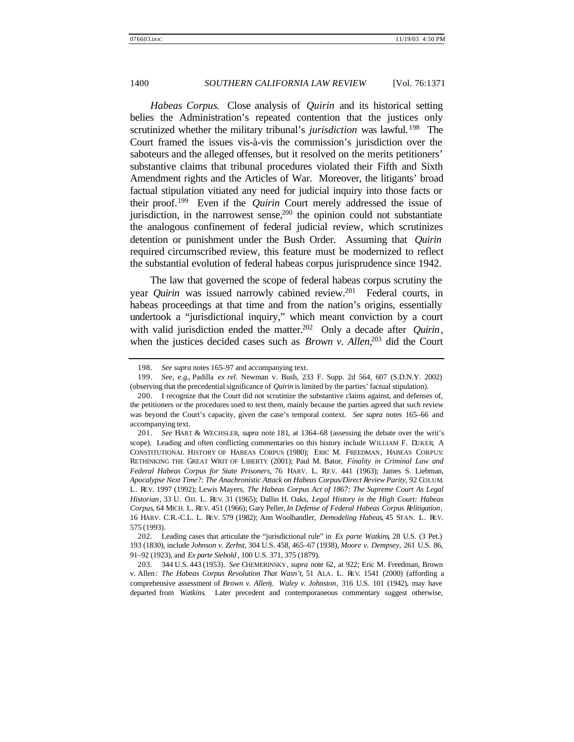*Habeas Corpus*. Close analysis of *Quirin* and its historical setting belies the Administration's repeated contention that the justices only scrutinized whether the military tribunal's *jurisdiction* was lawful.<sup>198</sup> The Court framed the issues vis-à-vis the commission's jurisdiction over the saboteurs and the alleged offenses, but it resolved on the merits petitioners' substantive claims that tribunal procedures violated their Fifth and Sixth Amendment rights and the Articles of War. Moreover, the litigants' broad factual stipulation vitiated any need for judicial inquiry into those facts or their proof.<sup>199</sup> Even if the *Quirin* Court merely addressed the issue of jurisdiction, in the narrowest sense,  $200$  the opinion could not substantiate the analogous confinement of federal judicial review, which scrutinizes detention or punishment under the Bush Order. Assuming that *Quirin* required circumscribed review, this feature must be modernized to reflect the substantial evolution of federal habeas corpus jurisprudence since 1942.

The law that governed the scope of federal habeas corpus scrutiny the year *Quirin* was issued narrowly cabined review.<sup>201</sup> Federal courts, in habeas proceedings at that time and from the nation's origins, essentially undertook a "jurisdictional inquiry," which meant conviction by a court with valid jurisdiction ended the matter.<sup>202</sup> Only a decade after *Quirin*, when the justices decided cases such as *Brown v. Allen*, <sup>203</sup> did the Court

<sup>198.</sup> *See supra* notes 165–97 and accompanying text.

<sup>199.</sup> *See, e.g.*, Padilla *ex rel.* Newman v. Bush, 233 F. Supp. 2d 564, 607 (S.D.N.Y. 2002) (observing that the precedential significance of *Quirin* is limited by the parties' factual stipulation).

<sup>200.</sup> I recognize that the Court did not scrutinize the substantive claims against, and defenses of, the petitioners or the procedures used to test them, mainly because the parties agreed that such review was beyond the Court's capacity, given the case's temporal context. *See supra* notes 165–66 and accompanying text.

<sup>201.</sup> *See* HART & WECHSLER, *supra* note 181, at 1364–68 (assessing the debate over the writ's scope). Leading and often conflicting commentaries on this history include WILLIAM F. DUKER, A CONSTITUTIONAL HISTORY OF HABEAS CORPUS (1980); ERIC M. FREEDMAN, HABEAS CORPUS: RETHINKING THE GREAT WRIT OF LIBERTY (2001); Paul M. Bator, *Finality in Criminal Law and Federal Habeas Corpus for State Prisoners*, 76 HARV. L. REV. 441 (1963); James S. Liebman, *Apocalypse Next Time?: The Anachronistic Attack on Habeas Corpus/Direct Review Parity*, 92 COLUM. L. REV. 1997 (1992); Lewis Mayers, *The Habeas Corpus Act of 1867: The Supreme Court As Legal Historian*, 33 U. CHI. L. REV. 31 (1965); Dallin H. Oaks, *Legal History in the High Court: Habeas Corpus*, 64 MICH. L. REV. 451 (1966); Gary Peller, *In Defense of Federal Habeas Corpus Relitigation*, 16 HARV. C.R.-C.L. L. REV. 579 (1982); Ann Woolhandler, *Demodeling Habeas*, 45 STAN. L. REV. 575 (1993).

<sup>202.</sup> Leading cases that articulate the "jurisdictional rule" in *Ex parte Watkins*, 28 U.S. (3 Pet.) 193 (1830), include *Johnson v. Zerbst*, 304 U.S. 458, 465–67 (1938), *Moore v. Dempsey*, 261 U.S. 86, 91–92 (1923), and *Ex parte Siebold* , 100 U.S. 371, 375 (1879).

<sup>203.</sup> 344 U.S. 443 (1953). *See* CHEMERINSKY, *supra* note 62, at 922; Eric M. Freedman, Brown v. Allen*: The Habeas Corpus Revolution That Wasn't*, 51 ALA. L. REV. 1541 (2000) (affording a comprehensive assessment of *Brown v. Allen*). *Waley v. Johnston*, 316 U.S. 101 (1942), may have departed from *Watkins*. Later precedent and contemporaneous commentary suggest otherwise,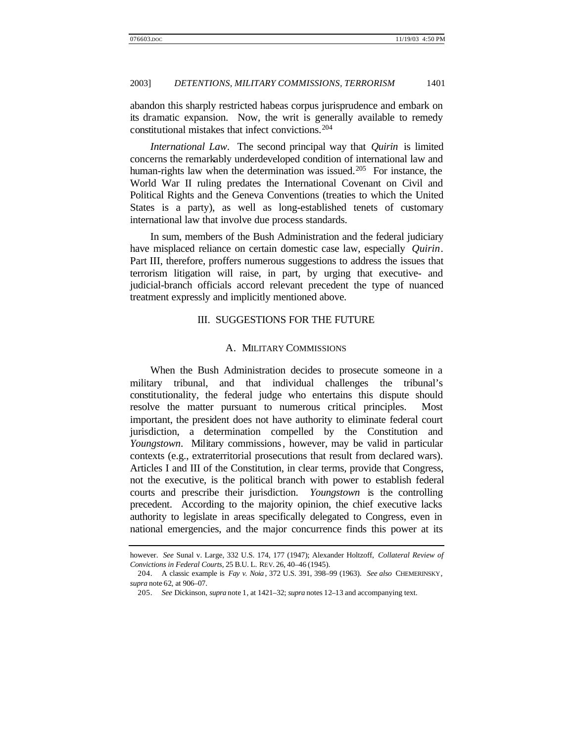abandon this sharply restricted habeas corpus jurisprudence and embark on its dramatic expansion. Now, the writ is generally available to remedy constitutional mistakes that infect convictions.<sup>204</sup>

*International Law*. The second principal way that *Quirin* is limited concerns the remarkably underdeveloped condition of international law and human-rights law when the determination was issued.<sup>205</sup> For instance, the World War II ruling predates the International Covenant on Civil and Political Rights and the Geneva Conventions (treaties to which the United States is a party), as well as long-established tenets of customary international law that involve due process standards.

In sum, members of the Bush Administration and the federal judiciary have misplaced reliance on certain domestic case law, especially *Quirin*. Part III, therefore, proffers numerous suggestions to address the issues that terrorism litigation will raise, in part, by urging that executive- and judicial-branch officials accord relevant precedent the type of nuanced treatment expressly and implicitly mentioned above.

## III. SUGGESTIONS FOR THE FUTURE

#### A. MILITARY COMMISSIONS

When the Bush Administration decides to prosecute someone in a military tribunal, and that individual challenges the tribunal's constitutionality, the federal judge who entertains this dispute should resolve the matter pursuant to numerous critical principles. Most important, the president does not have authority to eliminate federal court jurisdiction, a determination compelled by the Constitution and *Youngstown*. Military commissions, however, may be valid in particular contexts (e.g., extraterritorial prosecutions that result from declared wars). Articles I and III of the Constitution, in clear terms, provide that Congress, not the executive, is the political branch with power to establish federal courts and prescribe their jurisdiction. *Youngstown* is the controlling precedent. According to the majority opinion, the chief executive lacks authority to legislate in areas specifically delegated to Congress, even in national emergencies, and the major concurrence finds this power at its

however. *See* Sunal v. Large, 332 U.S. 174, 177 (1947); Alexander Holtzoff, *Collateral Review of Convictions in Federal Courts*, 25 B.U. L. REV. 26, 40–46 (1945).

<sup>204.</sup> A classic example is *Fay v. Noia* , 372 U.S. 391, 398–99 (1963). *See also* CHEMERINSKY, *supra* note 62, at 906–07.

<sup>205.</sup> *See* Dickinson, *supra* note 1, at 1421–32; *supra* notes 12–13 and accompanying text.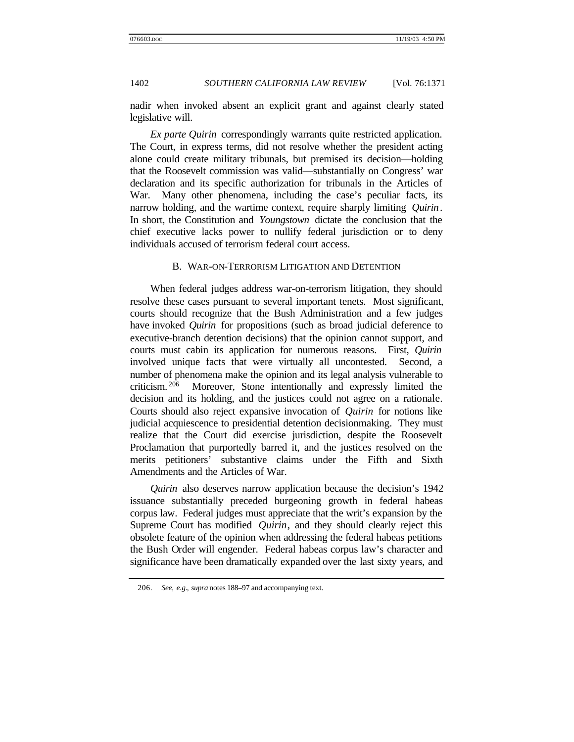nadir when invoked absent an explicit grant and against clearly stated legislative will.

*Ex parte Quirin* correspondingly warrants quite restricted application. The Court, in express terms, did not resolve whether the president acting alone could create military tribunals, but premised its decision—holding that the Roosevelt commission was valid—substantially on Congress' war declaration and its specific authorization for tribunals in the Articles of War. Many other phenomena, including the case's peculiar facts, its narrow holding, and the wartime context, require sharply limiting *Quirin*. In short, the Constitution and *Youngstown* dictate the conclusion that the chief executive lacks power to nullify federal jurisdiction or to deny individuals accused of terrorism federal court access.

### B. WAR-ON-TERRORISM LITIGATION AND DETENTION

When federal judges address war-on-terrorism litigation, they should resolve these cases pursuant to several important tenets. Most significant, courts should recognize that the Bush Administration and a few judges have invoked *Quirin* for propositions (such as broad judicial deference to executive-branch detention decisions) that the opinion cannot support, and courts must cabin its application for numerous reasons. First, *Quirin* involved unique facts that were virtually all uncontested. Second, a number of phenomena make the opinion and its legal analysis vulnerable to criticism. <sup>206</sup> Moreover, Stone intentionally and expressly limited the decision and its holding, and the justices could not agree on a rationale. Courts should also reject expansive invocation of *Quirin* for notions like judicial acquiescence to presidential detention decisionmaking. They must realize that the Court did exercise jurisdiction, despite the Roosevelt Proclamation that purportedly barred it, and the justices resolved on the merits petitioners' substantive claims under the Fifth and Sixth Amendments and the Articles of War.

*Quirin* also deserves narrow application because the decision's 1942 issuance substantially preceded burgeoning growth in federal habeas corpus law. Federal judges must appreciate that the writ's expansion by the Supreme Court has modified *Quirin*, and they should clearly reject this obsolete feature of the opinion when addressing the federal habeas petitions the Bush Order will engender. Federal habeas corpus law's character and significance have been dramatically expanded over the last sixty years, and

<sup>206.</sup> *See, e.g.*, *supra* notes 188–97 and accompanying text.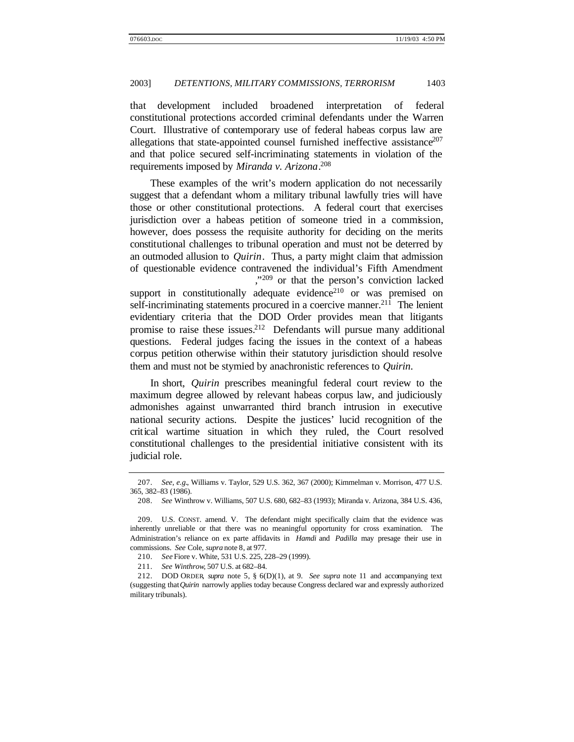that development included broadened interpretation of federal constitutional protections accorded criminal defendants under the Warren Court. Illustrative of contemporary use of federal habeas corpus law are allegations that state-appointed counsel furnished ineffective assistance<sup>207</sup> and that police secured self-incriminating statements in violation of the requirements imposed by *Miranda v. Arizona*. 208

These examples of the writ's modern application do not necessarily suggest that a defendant whom a military tribunal lawfully tries will have those or other constitutional protections. A federal court that exercises jurisdiction over a habeas petition of someone tried in a commission, however, does possess the requisite authority for deciding on the merits constitutional challenges to tribunal operation and must not be deterred by an outmoded allusion to *Quirin*. Thus, a party might claim that admission of questionable evidence contravened the individual's Fifth Amendment ," <sup>209</sup> or that the person's conviction lacked support in constitutionally adequate evidence<sup>210</sup> or was premised on self-incriminating statements procured in a coercive manner.<sup>211</sup> The lenient evidentiary criteria that the DOD Order provides mean that litigants promise to raise these issues.<sup>212</sup> Defendants will pursue many additional questions. Federal judges facing the issues in the context of a habeas corpus petition otherwise within their statutory jurisdiction should resolve

In short, *Quirin* prescribes meaningful federal court review to the maximum degree allowed by relevant habeas corpus law, and judiciously admonishes against unwarranted third branch intrusion in executive national security actions. Despite the justices' lucid recognition of the critical wartime situation in which they ruled, the Court resolved constitutional challenges to the presidential initiative consistent with its judicial role.

them and must not be stymied by anachronistic references to *Quirin*.

<sup>207.</sup> *See, e.g.*, Williams v. Taylor, 529 U.S. 362, 367 (2000); Kimmelman v. Morrison, 477 U.S. 365, 382–83 (1986).

<sup>208.</sup> *See* Winthrow v. Williams, 507 U.S. 680, 682–83 (1993); Miranda v. Arizona, 384 U.S. 436,

<sup>209.</sup> U.S. CONST. amend. V. The defendant might specifically claim that the evidence was inherently unreliable or that there was no meaningful opportunity for cross examination. The Administration's reliance on ex parte affidavits in *Hamdi* and *Padilla* may presage their use in commissions. *See* Cole, *supra* note 8, at 977.

<sup>210.</sup> *See* Fiore v. White, 531 U.S. 225, 228–29 (1999).

<sup>211.</sup> *See Winthrow*, 507 U.S. at 682–84.

<sup>212.</sup> DOD ORDER, *supra* note 5, § 6(D)(1), at 9. *See supra* note 11 and accompanying text (suggesting that *Quirin* narrowly applies today because Congress declared war and expressly authorized military tribunals).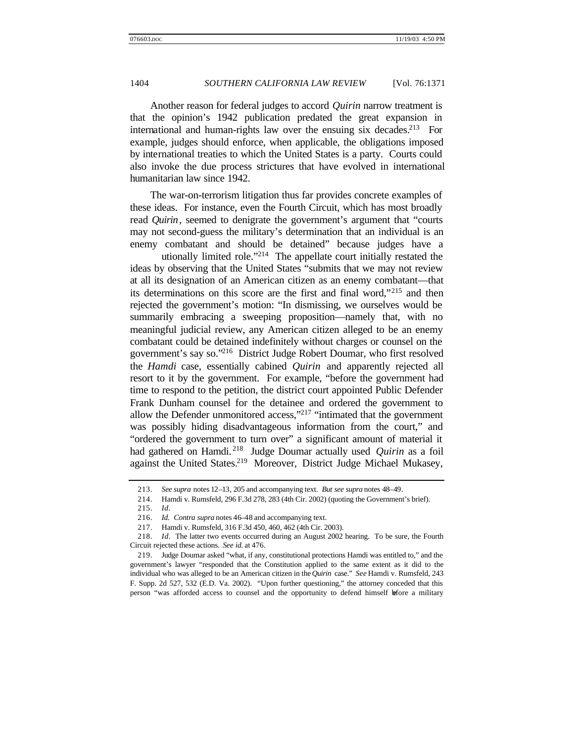Another reason for federal judges to accord *Quirin* narrow treatment is that the opinion's 1942 publication predated the great expansion in international and human-rights law over the ensuing six decades.<sup>213</sup> For example, judges should enforce, when applicable, the obligations imposed by international treaties to which the United States is a party. Courts could also invoke the due process strictures that have evolved in international humanitarian law since 1942.

The war-on-terrorism litigation thus far provides concrete examples of these ideas. For instance, even the Fourth Circuit, which has most broadly read *Quirin*, seemed to denigrate the government's argument that "courts may not second-guess the military's determination that an individual is an enemy combatant and should be detained" because judges have a

utionally limited role."<sup>214</sup> The appellate court initially restated the ideas by observing that the United States "submits that we may not review at all its designation of an American citizen as an enemy combatant—that its determinations on this score are the first and final word,"<sup>215</sup> and then rejected the government's motion: "In dismissing, we ourselves would be summarily embracing a sweeping proposition—namely that, with no meaningful judicial review, any American citizen alleged to be an enemy combatant could be detained indefinitely without charges or counsel on the government's say so."<sup>216</sup> District Judge Robert Doumar, who first resolved the *Hamdi* case, essentially cabined *Quirin* and apparently rejected all resort to it by the government. For example, "before the government had time to respond to the petition, the district court appointed Public Defender Frank Dunham counsel for the detainee and ordered the government to allow the Defender unmonitored access,"<sup>217</sup> "intimated that the government was possibly hiding disadvantageous information from the court," and "ordered the government to turn over" a significant amount of material it had gathered on Hamdi. <sup>218</sup> Judge Doumar actually used *Quirin* as a foil against the United States.<sup>219</sup> Moreover, District Judge Michael Mukasey,

215. *Id.*

<sup>213.</sup> *See supra* notes 12–13, 205 and accompanying text. *But see supra* notes 48–49.

<sup>214.</sup> Hamdi v. Rumsfeld, 296 F.3d 278, 283 (4th Cir. 2002) (quoting the Government's brief).

<sup>216.</sup> *Id. Contra supra* notes 46–48 and accompanying text.

<sup>217.</sup> Hamdi v. Rumsfeld, 316 F.3d 450, 460, 462 (4th Cir. 2003).

<sup>218.</sup> *Id*. The latter two events occurred during an August 2002 hearing. To be sure, the Fourth Circuit rejected these actions. *See id.* at 476.

<sup>219.</sup> Judge Doumar asked "what, if any, constitutional protections Hamdi was entitled to," and the government's lawyer "responded that the Constitution applied to the same extent as it did to the individual who was alleged to be an American citizen in the *Quirin* case." *See* Hamdi v. Rumsfeld, 243 F. Supp. 2d 527, 532 (E.D. Va. 2002). "Upon further questioning," the attorney conceded that this person "was afforded access to counsel and the opportunity to defend himself before a military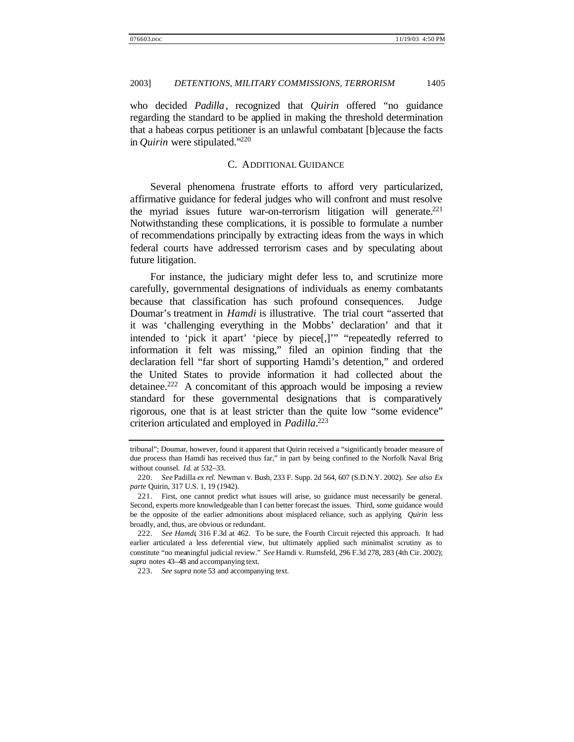who decided *Padilla*, recognized that *Quirin* offered "no guidance regarding the standard to be applied in making the threshold determination that a habeas corpus petitioner is an unlawful combatant [b]ecause the facts in *Quirin* were stipulated."<sup>220</sup>

## C. ADDITIONAL GUIDANCE

Several phenomena frustrate efforts to afford very particularized, affirmative guidance for federal judges who will confront and must resolve the myriad issues future war-on-terrorism litigation will generate.<sup>221</sup> Notwithstanding these complications, it is possible to formulate a number of recommendations principally by extracting ideas from the ways in which federal courts have addressed terrorism cases and by speculating about future litigation.

For instance, the judiciary might defer less to, and scrutinize more carefully, governmental designations of individuals as enemy combatants because that classification has such profound consequences. Judge Doumar's treatment in *Hamdi* is illustrative. The trial court "asserted that it was 'challenging everything in the Mobbs' declaration' and that it intended to 'pick it apart' 'piece by piece[,]'" "repeatedly referred to information it felt was missing," filed an opinion finding that the declaration fell "far short of supporting Hamdi's detention," and ordered the United States to provide information it had collected about the detainee.<sup>222</sup> A concomitant of this approach would be imposing a review standard for these governmental designations that is comparatively rigorous, one that is at least stricter than the quite low "some evidence" criterion articulated and employed in *Padilla*. 223

tribunal"; Doumar, however, found it apparent that Quirin received a "significantly broader measure of due process than Hamdi has received thus far," in part by being confined to the Norfolk Naval Brig without counsel. *Id*. at 532–33.

<sup>220.</sup> *See* Padilla *ex rel.* Newman v. Bush, 233 F. Supp. 2d 564, 607 (S.D.N.Y. 2002). *See also Ex parte* Quirin, 317 U.S. 1, 19 (1942).

<sup>221.</sup> First, one cannot predict what issues will arise, so guidance must necessarily be general. Second, experts more knowledgeable than I can better forecast the issues. Third, some guidance would be the opposite of the earlier admonitions about misplaced reliance, such as applying *Quirin* less broadly, and, thus, are obvious or redundant.

<sup>222.</sup> *See Hamdi*, 316 F.3d at 462. To be sure, the Fourth Circuit rejected this approach. It had earlier articulated a less deferential view, but ultimately applied such minimalist scrutiny as to constitute "no meaningful judicial review." *See* Hamdi v. Rumsfeld, 296 F.3d 278, 283 (4th Cir. 2002); *supra* notes 43–48 and accompanying text.

<sup>223.</sup> *See supra* note 53 and accompanying text.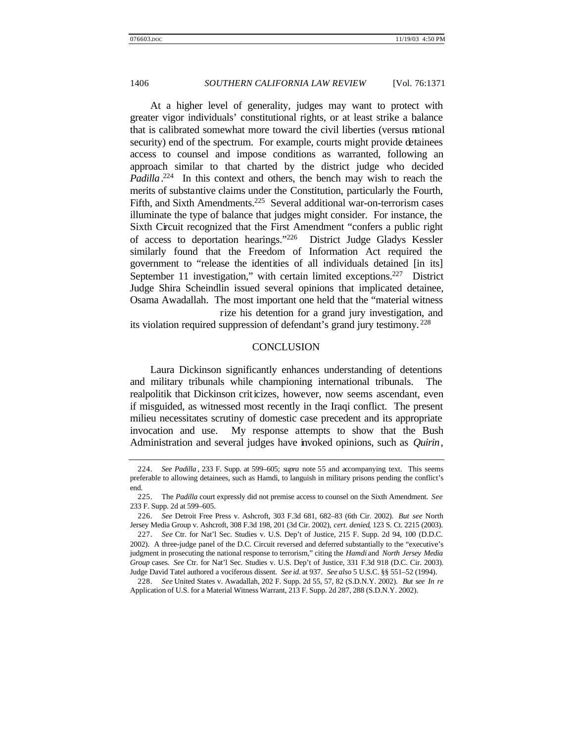At a higher level of generality, judges may want to protect with greater vigor individuals' constitutional rights, or at least strike a balance that is calibrated somewhat more toward the civil liberties (versus national security) end of the spectrum. For example, courts might provide detainees access to counsel and impose conditions as warranted, following an approach similar to that charted by the district judge who decided Padilla<sup>224</sup> In this context and others, the bench may wish to reach the merits of substantive claims under the Constitution, particularly the Fourth, Fifth, and Sixth Amendments.<sup>225</sup> Several additional war-on-terrorism cases illuminate the type of balance that judges might consider. For instance, the Sixth Circuit recognized that the First Amendment "confers a public right of access to deportation hearings."<sup>226</sup> District Judge Gladys Kessler similarly found that the Freedom of Information Act required the government to "release the identities of all individuals detained [in its] September 11 investigation," with certain limited exceptions.<sup>227</sup> District Judge Shira Scheindlin issued several opinions that implicated detainee, Osama Awadallah. The most important one held that the "material witness rize his detention for a grand jury investigation, and

its violation required suppression of defendant's grand jury testimony. <sup>228</sup>

## **CONCLUSION**

Laura Dickinson significantly enhances understanding of detentions and military tribunals while championing international tribunals. The realpolitik that Dickinson criticizes, however, now seems ascendant, even if misguided, as witnessed most recently in the Iraqi conflict. The present milieu necessitates scrutiny of domestic case precedent and its appropriate invocation and use. My response attempts to show that the Bush Administration and several judges have invoked opinions, such as *Quirin*,

<sup>224.</sup> *See Padilla* , 233 F. Supp. at 599–605; *supra* note 55 and accompanying text. This seems preferable to allowing detainees, such as Hamdi, to languish in military prisons pending the conflict's end.

<sup>225.</sup> The *Padilla* court expressly did not premise access to counsel on the Sixth Amendment. *See* 233 F. Supp. 2d at 599–605.

<sup>226.</sup> *See* Detroit Free Press v. Ashcroft, 303 F.3d 681, 682–83 (6th Cir. 2002). *But see* North Jersey Media Group v. Ashcroft, 308 F.3d 198, 201 (3d Cir. 2002), *cert. denied*, 123 S. Ct. 2215 (2003).

<sup>227.</sup> *See* Ctr. for Nat'l Sec. Studies v. U.S. Dep't of Justice, 215 F. Supp. 2d 94, 100 (D.D.C. 2002). A three-judge panel of the D.C. Circuit reversed and deferred substantially to the "executive's judgment in prosecuting the national response to terrorism," citing the *Hamdi* and *North Jersey Media Group* cases. *See* Ctr. for Nat'l Sec. Studies v. U.S. Dep't of Justice, 331 F.3d 918 (D.C. Cir. 2003). Judge David Tatel authored a vociferous dissent. *See id*. at 937. *See also* 5 U.S.C. §§ 551–52 (1994).

<sup>228.</sup> *See* United States v. Awadallah, 202 F. Supp. 2d 55, 57, 82 (S.D.N.Y. 2002). *But see In re* Application of U.S. for a Material Witness Warrant, 213 F. Supp. 2d 287, 288 (S.D.N.Y. 2002).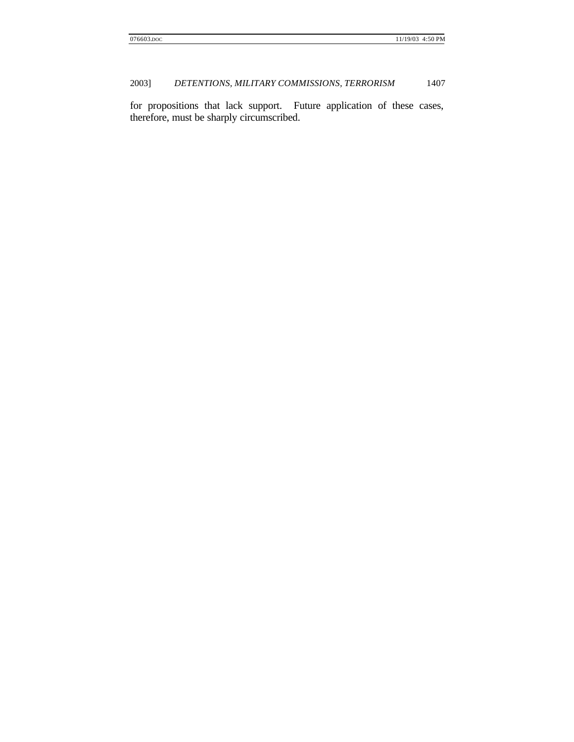for propositions that lack support. Future application of these cases, therefore, must be sharply circumscribed.